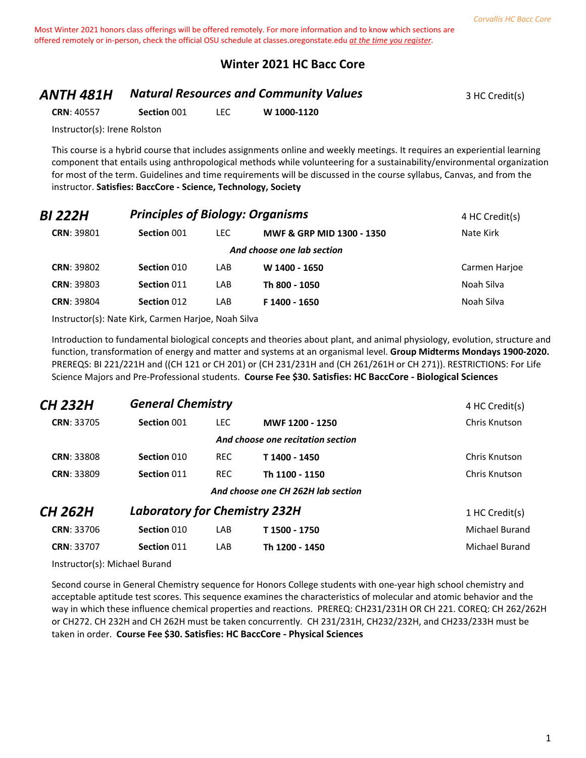#### **Winter 2021 HC Bacc Core**

# **ANTH 481H Matural Resources and Community Values** 3 HC Credit(s)

**CRN**: 40557 **Section** 001 LEC **W 1000-1120**

Instructor(s): Irene Rolston

This course is a hybrid course that includes assignments online and weekly meetings. It requires an experiential learning component that entails using anthropological methods while volunteering for a sustainability/environmental organization for most of the term. Guidelines and time requirements will be discussed in the course syllabus, Canvas, and from the instructor. **Satisfies: BaccCore - Science, Technology, Society**

| BI 222H           | <b>Principles of Biology: Organisms</b> | 4 HC Credit(s) |                                      |               |
|-------------------|-----------------------------------------|----------------|--------------------------------------|---------------|
| <b>CRN: 39801</b> | Section 001                             | LEC.           | <b>MWF &amp; GRP MID 1300 - 1350</b> | Nate Kirk     |
|                   |                                         |                | And choose one lab section           |               |
| <b>CRN: 39802</b> | Section 010                             | LAB            | W 1400 - 1650                        | Carmen Harjoe |
| <b>CRN: 39803</b> | Section 011                             | LAB            | Th 800 - 1050                        | Noah Silva    |
| <b>CRN: 39804</b> | Section 012                             | LAB            | F 1400 - 1650                        | Noah Silva    |
|                   |                                         |                |                                      |               |

Instructor(s): Nate Kirk, Carmen Harjoe, Noah Silva

Introduction to fundamental biological concepts and theories about plant, and animal physiology, evolution, structure and function, transformation of energy and matter and systems at an organismal level. **Group Midterms Mondays 1900-2020.** PREREQS: BI 221/221H and ((CH 121 or CH 201) or (CH 231/231H and (CH 261/261H or CH 271)). RESTRICTIONS: For Life Science Majors and Pre-Professional students. **Course Fee \$30. Satisfies: HC BaccCore - Biological Sciences**

| CH 232H           | <b>General Chemistry</b>             |            |                                    | 4 HC Credit(s) |
|-------------------|--------------------------------------|------------|------------------------------------|----------------|
| <b>CRN: 33705</b> | Section 001                          | <b>LEC</b> | MWF 1200 - 1250                    | Chris Knutson  |
|                   |                                      |            | And choose one recitation section  |                |
| <b>CRN: 33808</b> | Section 010                          | <b>REC</b> | T 1400 - 1450                      | Chris Knutson  |
| <b>CRN: 33809</b> | Section 011                          | <b>REC</b> | Th 1100 - 1150                     | Chris Knutson  |
|                   |                                      |            | And choose one CH 262H lab section |                |
| CH 262H           | <b>Laboratory for Chemistry 232H</b> |            |                                    | 1 HC Credit(s) |
| <b>CRN: 33706</b> | Section 010                          | LAB        | T 1500 - 1750                      | Michael Burand |
| <b>CRN: 33707</b> | Section 011                          | LAB        | Th 1200 - 1450                     | Michael Burand |

Instructor(s): Michael Burand

Second course in General Chemistry sequence for Honors College students with one-year high school chemistry and acceptable aptitude test scores. This sequence examines the characteristics of molecular and atomic behavior and the way in which these influence chemical properties and reactions. PREREQ: CH231/231H OR CH 221. COREQ: CH 262/262H or CH272. CH 232H and CH 262H must be taken concurrently. CH 231/231H, CH232/232H, and CH233/233H must be taken in order. **Course Fee \$30. Satisfies: HC BaccCore - Physical Sciences**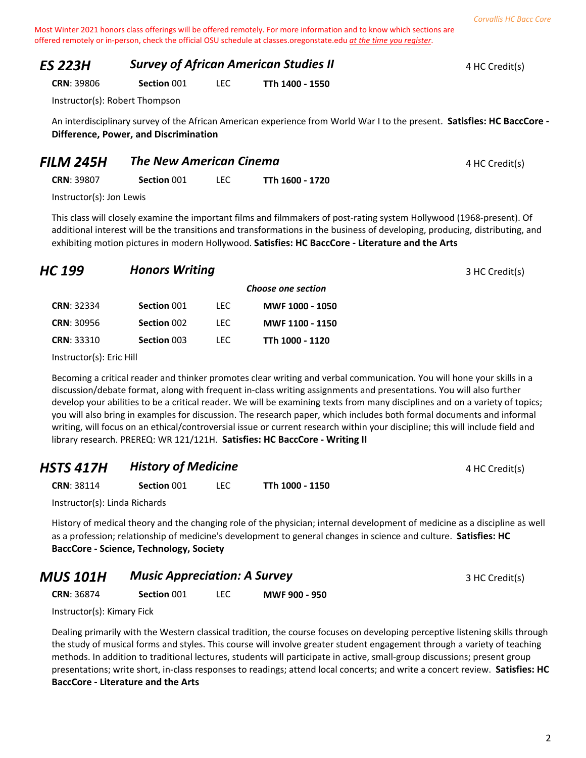#### *ES 223H Survey of African American Studies II* **4 HC Credit(s)** 4 HC Credit(s)

**CRN**: 39806 **Section** 001 LEC **TTh 1400 - 1550**

Instructor(s): Robert Thompson

An interdisciplinary survey of the African American experience from World War I to the present. **Satisfies: HC BaccCore - Difference, Power, and Discrimination**

| 4 HC Credit(s) |
|----------------|
|                |

**CRN**: 39807 **Section** 001 LEC **TTh 1600 - 1720**

Instructor(s): Jon Lewis

This class will closely examine the important films and filmmakers of post-rating system Hollywood (1968-present). Of additional interest will be the transitions and transformations in the business of developing, producing, distributing, and exhibiting motion pictures in modern Hollywood. **Satisfies: HC BaccCore - Literature and the Arts**

| HC 199            | <b>Honors Writing</b> |      |                    | 3 HC Credit(s) |
|-------------------|-----------------------|------|--------------------|----------------|
|                   |                       |      | Choose one section |                |
| <b>CRN: 32334</b> | Section 001           | LEC. | MWF 1000 - 1050    |                |
| <b>CRN: 30956</b> | Section 002           | LEC. | MWF 1100 - 1150    |                |
| <b>CRN: 33310</b> | Section 003           | LEC. | TTh 1000 - 1120    |                |

Instructor(s): Eric Hill

Becoming a critical reader and thinker promotes clear writing and verbal communication. You will hone your skills in a discussion/debate format, along with frequent in-class writing assignments and presentations. You will also further develop your abilities to be a critical reader. We will be examining texts from many disciplines and on a variety of topics; you will also bring in examples for discussion. The research paper, which includes both formal documents and informal writing, will focus on an ethical/controversial issue or current research within your discipline; this will include field and library research. PREREQ: WR 121/121H. **Satisfies: HC BaccCore - Writing II**

# **HSTS 417H History of Medicine All Accords** 4 HC Credit(s)

**CRN**: 38114 **Section** 001 LEC **TTh 1000 - 1150**

Instructor(s): Linda Richards

History of medical theory and the changing role of the physician; internal development of medicine as a discipline as well as a profession; relationship of medicine's development to general changes in science and culture. **Satisfies: HC BaccCore - Science, Technology, Society**

# *MUS 101H Music Appreciation: A Survey* 3 HC Credit(s)

**CRN**: 36874 **Section** 001 LEC **MWF 900 - 950**

Instructor(s): Kimary Fick

Dealing primarily with the Western classical tradition, the course focuses on developing perceptive listening skills through the study of musical forms and styles. This course will involve greater student engagement through a variety of teaching methods. In addition to traditional lectures, students will participate in active, small-group discussions; present group presentations; write short, in-class responses to readings; attend local concerts; and write a concert review. **Satisfies: HC BaccCore - Literature and the Arts**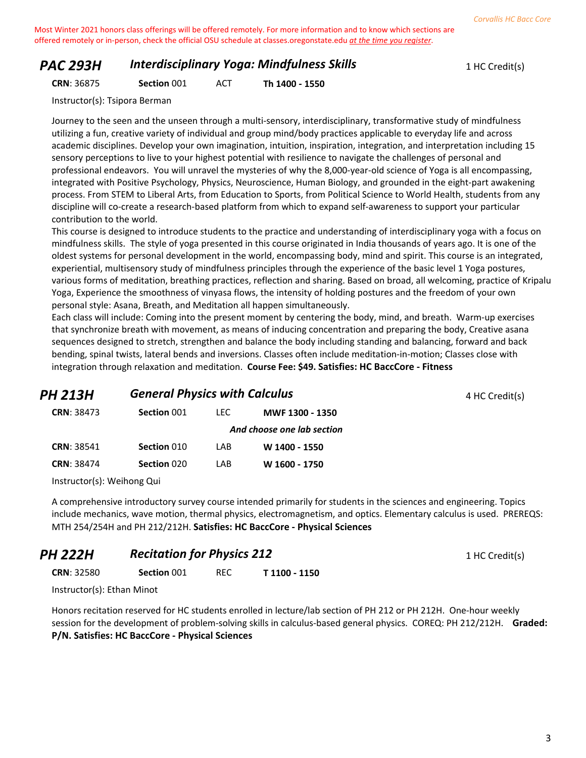# *PAC 293H Interdisciplinary Yoga: Mindfulness Skills* 1 HC Credit(s)

**CRN**: 36875 **Section** 001 ACT **Th 1400 - 1550**

Instructor(s): Tsipora Berman

Journey to the seen and the unseen through a multi-sensory, interdisciplinary, transformative study of mindfulness utilizing a fun, creative variety of individual and group mind/body practices applicable to everyday life and across academic disciplines. Develop your own imagination, intuition, inspiration, integration, and interpretation including 15 sensory perceptions to live to your highest potential with resilience to navigate the challenges of personal and professional endeavors. You will unravel the mysteries of why the 8,000-year-old science of Yoga is all encompassing, integrated with Positive Psychology, Physics, Neuroscience, Human Biology, and grounded in the eight-part awakening process. From STEM to Liberal Arts, from Education to Sports, from Political Science to World Health, students from any discipline will co-create a research-based platform from which to expand self-awareness to support your particular contribution to the world.

This course is designed to introduce students to the practice and understanding of interdisciplinary yoga with a focus on mindfulness skills. The style of yoga presented in this course originated in India thousands of years ago. It is one of the oldest systems for personal development in the world, encompassing body, mind and spirit. This course is an integrated, experiential, multisensory study of mindfulness principles through the experience of the basic level 1 Yoga postures, various forms of meditation, breathing practices, reflection and sharing. Based on broad, all welcoming, practice of Kripalu Yoga, Experience the smoothness of vinyasa flows, the intensity of holding postures and the freedom of your own personal style: Asana, Breath, and Meditation all happen simultaneously.

Each class will include: Coming into the present moment by centering the body, mind, and breath. Warm-up exercises that synchronize breath with movement, as means of inducing concentration and preparing the body, Creative asana sequences designed to stretch, strengthen and balance the body including standing and balancing, forward and back bending, spinal twists, lateral bends and inversions. Classes often include meditation-in-motion; Classes close with integration through relaxation and meditation. **Course Fee: \$49. Satisfies: HC BaccCore - Fitness**

| <b>PH 213H</b>    | <b>General Physics with Calculus</b> |      |                            | 4 HC Credit(s) |
|-------------------|--------------------------------------|------|----------------------------|----------------|
| <b>CRN: 38473</b> | Section 001                          | LEC. | MWF 1300 - 1350            |                |
|                   |                                      |      | And choose one lab section |                |
| <b>CRN: 38541</b> | Section 010                          | LAB  | W 1400 - 1550              |                |
| <b>CRN: 38474</b> | Section 020                          | LAB  | W 1600 - 1750              |                |
|                   |                                      |      |                            |                |

Instructor(s): Weihong Qui

A comprehensive introductory survey course intended primarily for students in the sciences and engineering. Topics include mechanics, wave motion, thermal physics, electromagnetism, and optics. Elementary calculus is used. PREREQS: MTH 254/254H and PH 212/212H. **Satisfies: HC BaccCore - Physical Sciences**

#### **PH 222H Recitation for Physics 212** 1 HC Credit(s)

**CRN**: 32580 **Section** 001 REC **T 1100 - 1150**

Instructor(s): Ethan Minot

Honors recitation reserved for HC students enrolled in lecture/lab section of PH 212 or PH 212H. One-hour weekly session for the development of problem-solving skills in calculus-based general physics. COREQ: PH 212/212H. **Graded: P/N. Satisfies: HC BaccCore - Physical Sciences**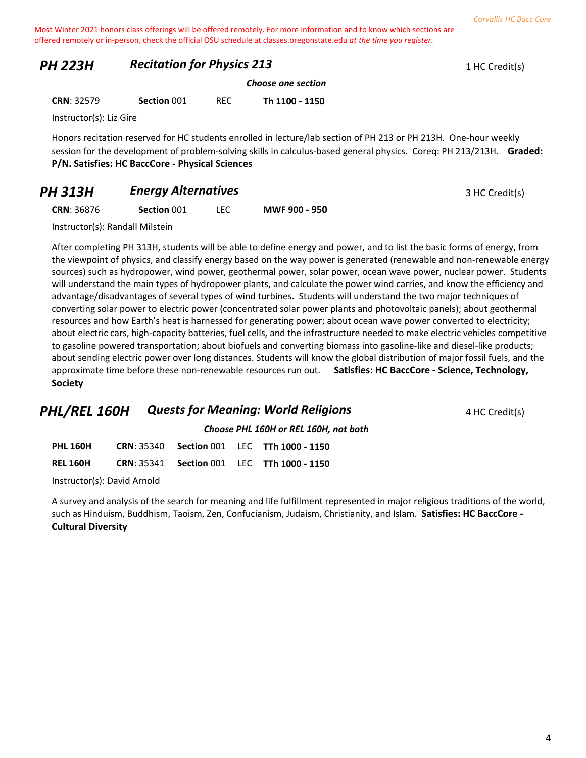# **PH 223H Recitation for Physics 213** 1 HC Credit(s)

*Choose one section*

**CRN**: 32579 **Section** 001 REC **Th 1100 - 1150**

Instructor(s): Liz Gire

Honors recitation reserved for HC students enrolled in lecture/lab section of PH 213 or PH 213H. One-hour weekly session for the development of problem-solving skills in calculus-based general physics. Coreq: PH 213/213H. **Graded: P/N. Satisfies: HC BaccCore - Physical Sciences**

# **PH 313H** *Energy Alternatives* 3 HC Credit(s)

**CRN**: 36876 **Section** 001 LEC **MWF 900 - 950**

Instructor(s): Randall Milstein

After completing PH 313H, students will be able to define energy and power, and to list the basic forms of energy, from the viewpoint of physics, and classify energy based on the way power is generated (renewable and non-renewable energy sources) such as hydropower, wind power, geothermal power, solar power, ocean wave power, nuclear power. Students will understand the main types of hydropower plants, and calculate the power wind carries, and know the efficiency and advantage/disadvantages of several types of wind turbines. Students will understand the two major techniques of converting solar power to electric power (concentrated solar power plants and photovoltaic panels); about geothermal resources and how Earth's heat is harnessed for generating power; about ocean wave power converted to electricity; about electric cars, high-capacity batteries, fuel cells, and the infrastructure needed to make electric vehicles competitive to gasoline powered transportation; about biofuels and converting biomass into gasoline-like and diesel-like products; about sending electric power over long distances. Students will know the global distribution of major fossil fuels, and the approximate time before these non-renewable resources run out. **Satisfies: HC BaccCore - Science, Technology, Society**

# **PHL/REL 160H Quests for Meaning: World Religions** 4 HC Credit(s)

*Choose PHL 160H or REL 160H, not both*

| <b>PHL 160H</b> | <b>CRN: 35340</b> |  | <b>Section 001 LEC TTh 1000 - 1150</b>            |
|-----------------|-------------------|--|---------------------------------------------------|
| <b>REL 160H</b> |                   |  | <b>CRN: 35341 Section 001 LEC TTh 1000 - 1150</b> |

Instructor(s): David Arnold

A survey and analysis of the search for meaning and life fulfillment represented in major religious traditions of the world, such as Hinduism, Buddhism, Taoism, Zen, Confucianism, Judaism, Christianity, and Islam. **Satisfies: HC BaccCore - Cultural Diversity**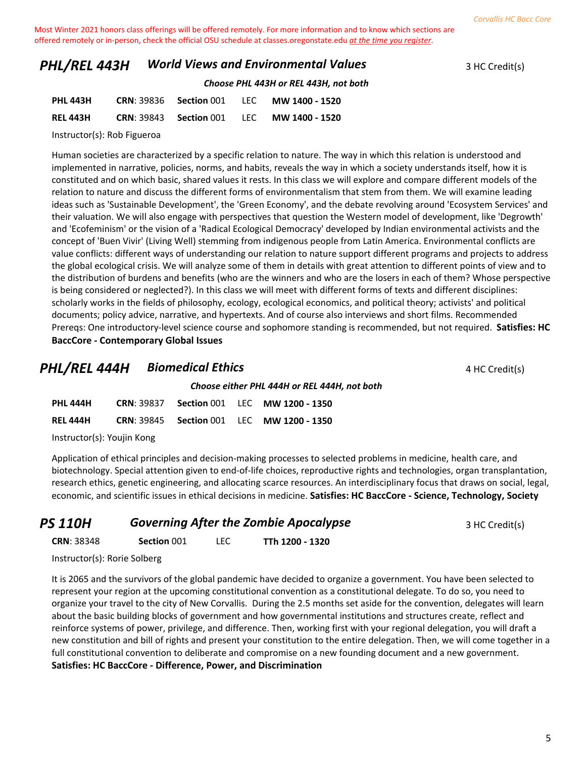# **PHL/REL 443H** *World Views and Environmental Values* 3 HC Credit(s)

*Choose PHL 443H or REL 443H, not both*

| <b>PHL 443H</b> | <b>CRN: 39836 Section 001</b> | LEC MW 1400 - 1520                                     |
|-----------------|-------------------------------|--------------------------------------------------------|
| <b>REL 443H</b> |                               | <b>CRN: 39843 • Section 001 • LEC • MW 1400 - 1520</b> |

Instructor(s): Rob Figueroa

Human societies are characterized by a specific relation to nature. The way in which this relation is understood and implemented in narrative, policies, norms, and habits, reveals the way in which a society understands itself, how it is constituted and on which basic, shared values it rests. In this class we will explore and compare different models of the relation to nature and discuss the different forms of environmentalism that stem from them. We will examine leading ideas such as 'Sustainable Development', the 'Green Economy', and the debate revolving around 'Ecosystem Services' and their valuation. We will also engage with perspectives that question the Western model of development, like 'Degrowth' and 'Ecofeminism' or the vision of a 'Radical Ecological Democracy' developed by Indian environmental activists and the concept of 'Buen Vivir' (Living Well) stemming from indigenous people from Latin America. Environmental conflicts are value conflicts: different ways of understanding our relation to nature support different programs and projects to address the global ecological crisis. We will analyze some of them in details with great attention to different points of view and to the distribution of burdens and benefits (who are the winners and who are the losers in each of them? Whose perspective is being considered or neglected?). In this class we will meet with different forms of texts and different disciplines: scholarly works in the fields of philosophy, ecology, ecological economics, and political theory; activists' and political documents; policy advice, narrative, and hypertexts. And of course also interviews and short films. Recommended Prereqs: One introductory-level science course and sophomore standing is recommended, but not required. **Satisfies: HC BaccCore - Contemporary Global Issues**

#### **PHL/REL 444H Biomedical Ethics A HC Credit(s) 4 HC Credit(s)**

|                             |  | Choose either PHL 444H or REL 444H, not both |  |                                                  |  |  |  |
|-----------------------------|--|----------------------------------------------|--|--------------------------------------------------|--|--|--|
| PHL 444H                    |  |                                              |  | <b>CRN: 39837 Section 001 LEC MW 1200 - 1350</b> |  |  |  |
| REL 444H                    |  |                                              |  | <b>CRN: 39845 Section 001 LEC MW 1200 - 1350</b> |  |  |  |
| Instruation(c), Vaniin Vana |  |                                              |  |                                                  |  |  |  |

Instructor(s): Youjin Kong

Application of ethical principles and decision-making processes to selected problems in medicine, health care, and biotechnology. Special attention given to end-of-life choices, reproductive rights and technologies, organ transplantation, research ethics, genetic engineering, and allocating scarce resources. An interdisciplinary focus that draws on social, legal, economic, and scientific issues in ethical decisions in medicine. **Satisfies: HC BaccCore - Science, Technology, Society**

| <b>PS 110H</b> | <b>Governing After the Zombie Apocalypse</b> | 3 HC Credit(s) |
|----------------|----------------------------------------------|----------------|
|                |                                              |                |

**CRN**: 38348 **Section** 001 LEC **TTh 1200 - 1320**

Instructor(s): Rorie Solberg

It is 2065 and the survivors of the global pandemic have decided to organize a government. You have been selected to represent your region at the upcoming constitutional convention as a constitutional delegate. To do so, you need to organize your travel to the city of New Corvallis. During the 2.5 months set aside for the convention, delegates will learn about the basic building blocks of government and how governmental institutions and structures create, reflect and reinforce systems of power, privilege, and difference. Then, working first with your regional delegation, you will draft a new constitution and bill of rights and present your constitution to the entire delegation. Then, we will come together in a full constitutional convention to deliberate and compromise on a new founding document and a new government. **Satisfies: HC BaccCore - Difference, Power, and Discrimination**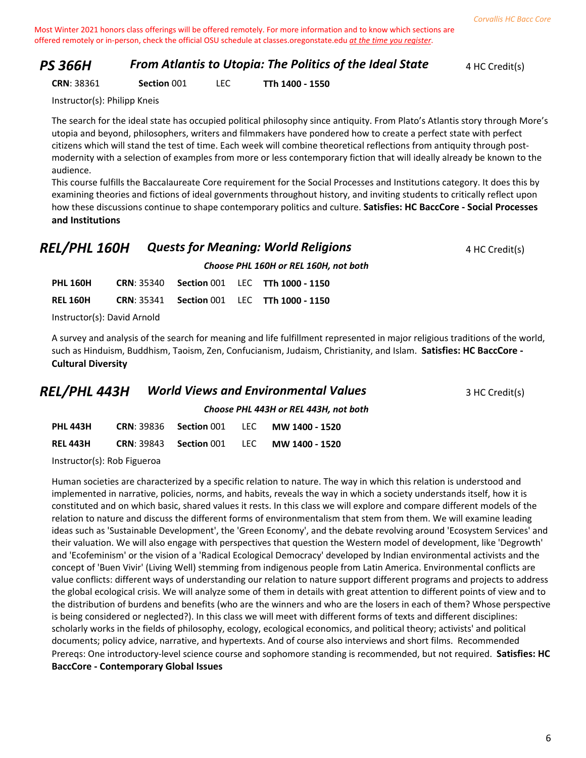#### **PS 366H From Atlantis to Utopia: The Politics of the Ideal State** 4 HC Credit(s)

**CRN**: 38361 **Section** 001 LEC **TTh 1400 - 1550**

Instructor(s): Philipp Kneis

The search for the ideal state has occupied political philosophy since antiquity. From Plato's Atlantis story through More's utopia and beyond, philosophers, writers and filmmakers have pondered how to create a perfect state with perfect citizens which will stand the test of time. Each week will combine theoretical reflections from antiquity through postmodernity with a selection of examples from more or less contemporary fiction that will ideally already be known to the audience.

This course fulfills the Baccalaureate Core requirement for the Social Processes and Institutions category. It does this by examining theories and fictions of ideal governments throughout history, and inviting students to critically reflect upon how these discussions continue to shape contemporary politics and culture. **Satisfies: HC BaccCore - Social Processes and Institutions**

#### **REL/PHL 160H Quests for Meaning: World Religions** 4 HC Credit(s)

*Choose PHL 160H or REL 160H, not both*

| <b>PHL 160H</b>             |  |  |  | <b>CRN: 35340 Section 001 LEC TTh 1000 - 1150</b> |  |
|-----------------------------|--|--|--|---------------------------------------------------|--|
| REL 160H                    |  |  |  | <b>CRN: 35341 Section 001 LEC TTh 1000 - 1150</b> |  |
| Instructor(s): David Arnold |  |  |  |                                                   |  |

A survey and analysis of the search for meaning and life fulfillment represented in major religious traditions of the world, such as Hinduism, Buddhism, Taoism, Zen, Confucianism, Judaism, Christianity, and Islam. **Satisfies: HC BaccCore - Cultural Diversity**

| <b>REL/PHL 443H</b> | <b>World Views and Environmental Values</b> | 3 HC Credit(s) |
|---------------------|---------------------------------------------|----------------|
|---------------------|---------------------------------------------|----------------|

*Choose PHL 443H or REL 443H, not both*

| <b>PHL 443H</b> |  | <b>CRN: 39836 Section 001 LEC MW 1400 - 1520</b> |
|-----------------|--|--------------------------------------------------|
| <b>REL 443H</b> |  | <b>CRN: 39843 Section 001 LEC MW 1400 - 1520</b> |
|                 |  |                                                  |

Instructor(s): Rob Figueroa

Human societies are characterized by a specific relation to nature. The way in which this relation is understood and implemented in narrative, policies, norms, and habits, reveals the way in which a society understands itself, how it is constituted and on which basic, shared values it rests. In this class we will explore and compare different models of the relation to nature and discuss the different forms of environmentalism that stem from them. We will examine leading ideas such as 'Sustainable Development', the 'Green Economy', and the debate revolving around 'Ecosystem Services' and their valuation. We will also engage with perspectives that question the Western model of development, like 'Degrowth' and 'Ecofeminism' or the vision of a 'Radical Ecological Democracy' developed by Indian environmental activists and the concept of 'Buen Vivir' (Living Well) stemming from indigenous people from Latin America. Environmental conflicts are value conflicts: different ways of understanding our relation to nature support different programs and projects to address the global ecological crisis. We will analyze some of them in details with great attention to different points of view and to the distribution of burdens and benefits (who are the winners and who are the losers in each of them? Whose perspective is being considered or neglected?). In this class we will meet with different forms of texts and different disciplines: scholarly works in the fields of philosophy, ecology, ecological economics, and political theory; activists' and political documents; policy advice, narrative, and hypertexts. And of course also interviews and short films. Recommended Prereqs: One introductory-level science course and sophomore standing is recommended, but not required. **Satisfies: HC BaccCore - Contemporary Global Issues**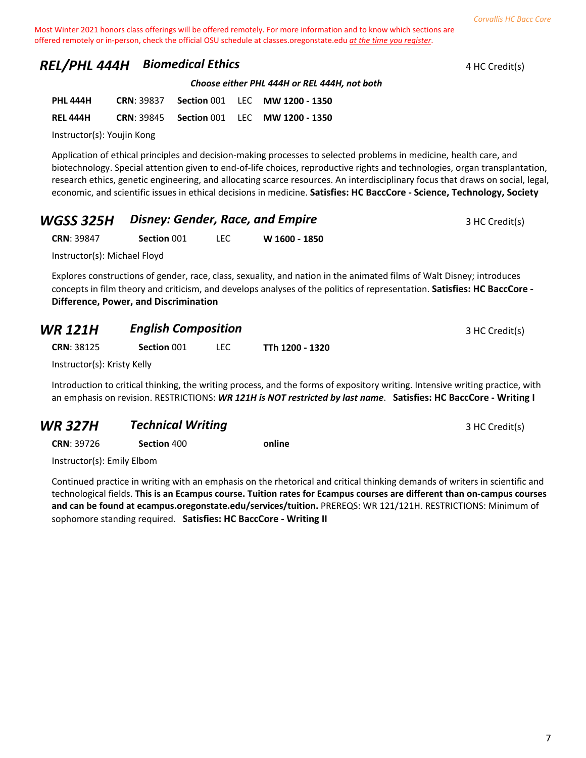# **REL/PHL 444H Biomedical Ethics 4 HC Credit(s) 4 HC Credit(s)**

*Choose either PHL 444H or REL 444H, not both*

| <b>PHL 444H</b> | <b>CRN: 39837</b> |  | <b>Section 001 LEC MW 1200 - 1350</b>            |
|-----------------|-------------------|--|--------------------------------------------------|
| <b>REL 444H</b> |                   |  | <b>CRN: 39845 Section 001 LEC MW 1200 - 1350</b> |

Instructor(s): Youjin Kong

Application of ethical principles and decision-making processes to selected problems in medicine, health care, and biotechnology. Special attention given to end-of-life choices, reproductive rights and technologies, organ transplantation, research ethics, genetic engineering, and allocating scarce resources. An interdisciplinary focus that draws on social, legal, economic, and scientific issues in ethical decisions in medicine. **Satisfies: HC BaccCore - Science, Technology, Society**

| <b>WGSS 325H</b> Disney: Gender, Race, and Empire | 3 HC Credit(s) |
|---------------------------------------------------|----------------|
|                                                   |                |

| <b>CRN: 39847</b> | Section 001 | <b>LEC</b> | W 1600 - 1850 |
|-------------------|-------------|------------|---------------|
|-------------------|-------------|------------|---------------|

Instructor(s): Michael Floyd

Explores constructions of gender, race, class, sexuality, and nation in the animated films of Walt Disney; introduces concepts in film theory and criticism, and develops analyses of the politics of representation. **Satisfies: HC BaccCore - Difference, Power, and Discrimination**

| <b>WR 121H</b>              | <b>English Composition</b> |      |                 | 3 HC Credit(s) |
|-----------------------------|----------------------------|------|-----------------|----------------|
| <b>CRN: 38125</b>           | Section 001                | I FC | TTh 1200 - 1320 |                |
| Instructor(s): Kristy Kelly |                            |      |                 |                |

Introduction to critical thinking, the writing process, and the forms of expository writing. Intensive writing practice, with an emphasis on revision. RESTRICTIONS: *WR 121H is NOT restricted by last name*. **Satisfies: HC BaccCore - Writing I**

# **WR 327H 7echnical Writing 3 HC Credit(s)** 3 HC Credit(s)

**CRN**: 39726 **Section** 400 **online**

Instructor(s): Emily Elbom

Continued practice in writing with an emphasis on the rhetorical and critical thinking demands of writers in scientific and technological fields. **This is an Ecampus course. Tuition rates for Ecampus courses are different than on-campus courses and can be found at ecampus.oregonstate.edu/services/tuition.** PREREQS: WR 121/121H. RESTRICTIONS: Minimum of sophomore standing required. **Satisfies: HC BaccCore - Writing II**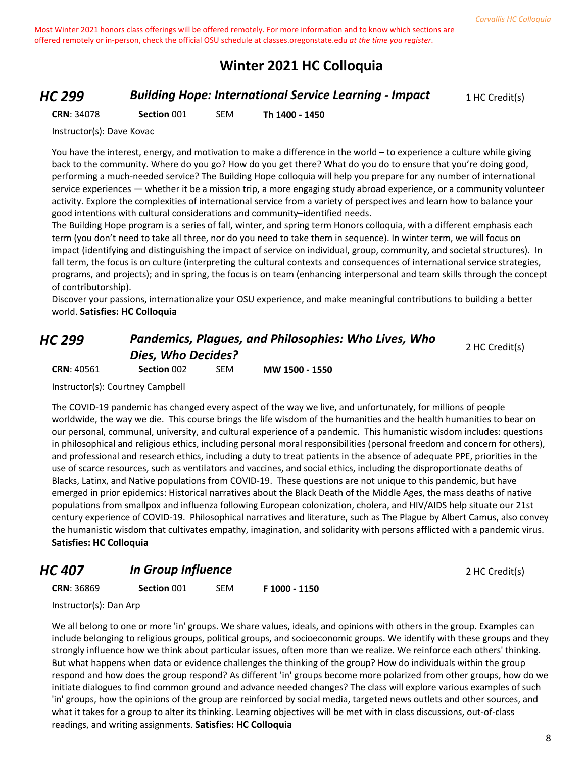# **Winter 2021 HC Colloquia**

#### *HC 299* **Building Hope: International Service Learning - Impact** 1 HC Credit(s)

**CRN**: 34078 **Section** 001 SEM **Th 1400 - 1450**

Instructor(s): Dave Kovac

You have the interest, energy, and motivation to make a difference in the world – to experience a culture while giving back to the community. Where do you go? How do you get there? What do you do to ensure that you're doing good, performing a much-needed service? The Building Hope colloquia will help you prepare for any number of international service experiences — whether it be a mission trip, a more engaging study abroad experience, or a community volunteer activity. Explore the complexities of international service from a variety of perspectives and learn how to balance your good intentions with cultural considerations and community–identified needs.

The Building Hope program is a series of fall, winter, and spring term Honors colloquia, with a different emphasis each term (you don't need to take all three, nor do you need to take them in sequence). In winter term, we will focus on impact (identifying and distinguishing the impact of service on individual, group, community, and societal structures). In fall term, the focus is on culture (interpreting the cultural contexts and consequences of international service strategies, programs, and projects); and in spring, the focus is on team (enhancing interpersonal and team skills through the concept of contributorship).

Discover your passions, internationalize your OSU experience, and make meaningful contributions to building a better world. **Satisfies: HC Colloquia**

# *HC 299 Pandemics, Plagues, and Philosophies: Who Lives, Who Dies, Who Decides?*

2 HC Credit(s)

**CRN**: 40561 **Section** 002 SEM **MW 1500 - 1550**

Instructor(s): Courtney Campbell

The COVID-19 pandemic has changed every aspect of the way we live, and unfortunately, for millions of people worldwide, the way we die. This course brings the life wisdom of the humanities and the health humanities to bear on our personal, communal, university, and cultural experience of a pandemic. This humanistic wisdom includes: questions in philosophical and religious ethics, including personal moral responsibilities (personal freedom and concern for others), and professional and research ethics, including a duty to treat patients in the absence of adequate PPE, priorities in the use of scarce resources, such as ventilators and vaccines, and social ethics, including the disproportionate deaths of Blacks, Latinx, and Native populations from COVID-19. These questions are not unique to this pandemic, but have emerged in prior epidemics: Historical narratives about the Black Death of the Middle Ages, the mass deaths of native populations from smallpox and influenza following European colonization, cholera, and HIV/AIDS help situate our 21st century experience of COVID-19. Philosophical narratives and literature, such as The Plague by Albert Camus, also convey the humanistic wisdom that cultivates empathy, imagination, and solidarity with persons afflicted with a pandemic virus. **Satisfies: HC Colloquia**

#### *HC 407* **In Group Influence** 2 HC Credit(s)

**CRN**: 36869 **Section** 001 SEM **F 1000 - 1150**

Instructor(s): Dan Arp

We all belong to one or more 'in' groups. We share values, ideals, and opinions with others in the group. Examples can include belonging to religious groups, political groups, and socioeconomic groups. We identify with these groups and they strongly influence how we think about particular issues, often more than we realize. We reinforce each others' thinking. But what happens when data or evidence challenges the thinking of the group? How do individuals within the group respond and how does the group respond? As different 'in' groups become more polarized from other groups, how do we initiate dialogues to find common ground and advance needed changes? The class will explore various examples of such 'in' groups, how the opinions of the group are reinforced by social media, targeted news outlets and other sources, and what it takes for a group to alter its thinking. Learning objectives will be met with in class discussions, out-of-class readings, and writing assignments. **Satisfies: HC Colloquia**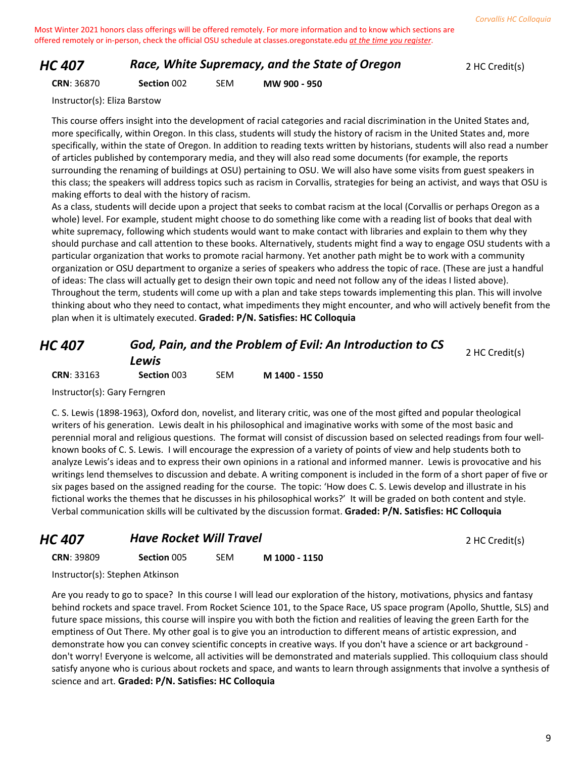#### *HC 407* **Race, White Supremacy, and the State of Oregon** 2 HC Credit(s)

**CRN**: 36870 **Section** 002 SEM **MW 900 - 950**

Instructor(s): Eliza Barstow

This course offers insight into the development of racial categories and racial discrimination in the United States and, more specifically, within Oregon. In this class, students will study the history of racism in the United States and, more specifically, within the state of Oregon. In addition to reading texts written by historians, students will also read a number of articles published by contemporary media, and they will also read some documents (for example, the reports surrounding the renaming of buildings at OSU) pertaining to OSU. We will also have some visits from guest speakers in this class; the speakers will address topics such as racism in Corvallis, strategies for being an activist, and ways that OSU is making efforts to deal with the history of racism.

As a class, students will decide upon a project that seeks to combat racism at the local (Corvallis or perhaps Oregon as a whole) level. For example, student might choose to do something like come with a reading list of books that deal with white supremacy, following which students would want to make contact with libraries and explain to them why they should purchase and call attention to these books. Alternatively, students might find a way to engage OSU students with a particular organization that works to promote racial harmony. Yet another path might be to work with a community organization or OSU department to organize a series of speakers who address the topic of race. (These are just a handful of ideas: The class will actually get to design their own topic and need not follow any of the ideas I listed above). Throughout the term, students will come up with a plan and take steps towards implementing this plan. This will involve thinking about who they need to contact, what impediments they might encounter, and who will actively benefit from the plan when it is ultimately executed. **Graded: P/N. Satisfies: HC Colloquia**

| HC 407            | God, Pain, and the Problem of Evil: An Introduction to CS<br>Lewis |     | 2 HC Credit(s) |  |
|-------------------|--------------------------------------------------------------------|-----|----------------|--|
| <b>CRN: 33163</b> | Section 003                                                        | SEM | M 1400 - 1550  |  |

Instructor(s): Gary Ferngren

C. S. Lewis (1898-1963), Oxford don, novelist, and literary critic, was one of the most gifted and popular theological writers of his generation. Lewis dealt in his philosophical and imaginative works with some of the most basic and perennial moral and religious questions. The format will consist of discussion based on selected readings from four wellknown books of C. S. Lewis. I will encourage the expression of a variety of points of view and help students both to analyze Lewis's ideas and to express their own opinions in a rational and informed manner. Lewis is provocative and his writings lend themselves to discussion and debate. A writing component is included in the form of a short paper of five or six pages based on the assigned reading for the course. The topic: 'How does C. S. Lewis develop and illustrate in his fictional works the themes that he discusses in his philosophical works?' It will be graded on both content and style. Verbal communication skills will be cultivated by the discussion format. **Graded: P/N. Satisfies: HC Colloquia**

# **HC 407 Have Rocket Will Travel** *HC 407 HC Credit(s)*

| <b>CRN: 39809</b> | Section 005 | <b>SEM</b> | M 1000 - 1150 |
|-------------------|-------------|------------|---------------|
|-------------------|-------------|------------|---------------|

Instructor(s): Stephen Atkinson

Are you ready to go to space? In this course I will lead our exploration of the history, motivations, physics and fantasy behind rockets and space travel. From Rocket Science 101, to the Space Race, US space program (Apollo, Shuttle, SLS) and future space missions, this course will inspire you with both the fiction and realities of leaving the green Earth for the emptiness of Out There. My other goal is to give you an introduction to different means of artistic expression, and demonstrate how you can convey scientific concepts in creative ways. If you don't have a science or art background don't worry! Everyone is welcome, all activities will be demonstrated and materials supplied. This colloquium class should satisfy anyone who is curious about rockets and space, and wants to learn through assignments that involve a synthesis of science and art. **Graded: P/N. Satisfies: HC Colloquia**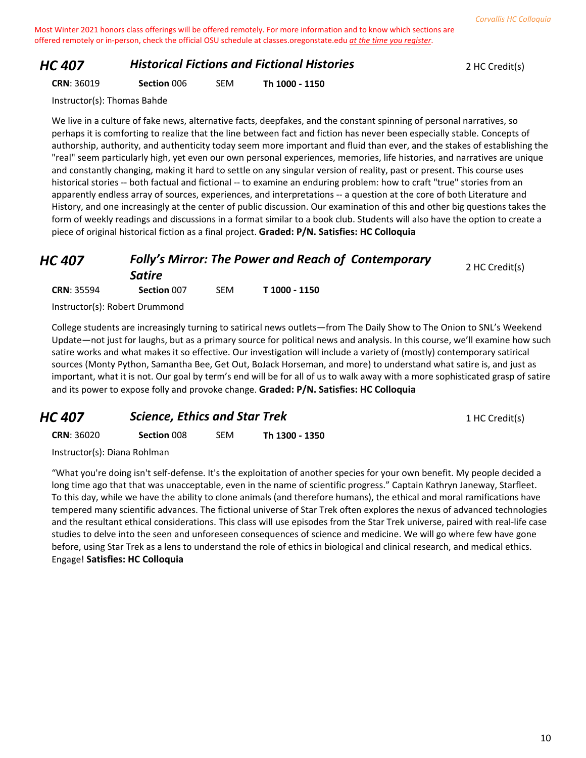#### *HC 407* **Historical Fictions and Fictional Histories 2 HC Credit(s)**

| <b>CRN: 36019</b> | Section 006 | <b>SEM</b> | Th 1000 - 1150 |
|-------------------|-------------|------------|----------------|
|-------------------|-------------|------------|----------------|

Instructor(s): Thomas Bahde

We live in a culture of fake news, alternative facts, deepfakes, and the constant spinning of personal narratives, so perhaps it is comforting to realize that the line between fact and fiction has never been especially stable. Concepts of authorship, authority, and authenticity today seem more important and fluid than ever, and the stakes of establishing the "real" seem particularly high, yet even our own personal experiences, memories, life histories, and narratives are unique and constantly changing, making it hard to settle on any singular version of reality, past or present. This course uses historical stories -- both factual and fictional -- to examine an enduring problem: how to craft "true" stories from an apparently endless array of sources, experiences, and interpretations -- a question at the core of both Literature and History, and one increasingly at the center of public discussion. Our examination of this and other big questions takes the form of weekly readings and discussions in a format similar to a book club. Students will also have the option to create a piece of original historical fiction as a final project. **Graded: P/N. Satisfies: HC Colloquia**

#### *HC 407 Folly's Mirror: The Power and Reach of Contemporary Satire* 2 HC Credit(s) **CRN**: 35594 **Section** 007 SEM **T 1000 - 1150**

Instructor(s): Robert Drummond

College students are increasingly turning to satirical news outlets—from The Daily Show to The Onion to SNL's Weekend Update—not just for laughs, but as a primary source for political news and analysis. In this course, we'll examine how such satire works and what makes it so effective. Our investigation will include a variety of (mostly) contemporary satirical sources (Monty Python, Samantha Bee, Get Out, BoJack Horseman, and more) to understand what satire is, and just as important, what it is not. Our goal by term's end will be for all of us to walk away with a more sophisticated grasp of satire and its power to expose folly and provoke change. **Graded: P/N. Satisfies: HC Colloquia**

| HC 407            | <b>Science, Ethics and Star Trek</b> |            | 1 HC Credit(s) |  |
|-------------------|--------------------------------------|------------|----------------|--|
| <b>CRN: 36020</b> | <b>Section 008</b>                   | <b>SEM</b> | Th 1300 - 1350 |  |

Instructor(s): Diana Rohlman

"What you're doing isn't self-defense. It's the exploitation of another species for your own benefit. My people decided a long time ago that that was unacceptable, even in the name of scientific progress." Captain Kathryn Janeway, Starfleet. To this day, while we have the ability to clone animals (and therefore humans), the ethical and moral ramifications have tempered many scientific advances. The fictional universe of Star Trek often explores the nexus of advanced technologies and the resultant ethical considerations. This class will use episodes from the Star Trek universe, paired with real-life case studies to delve into the seen and unforeseen consequences of science and medicine. We will go where few have gone before, using Star Trek as a lens to understand the role of ethics in biological and clinical research, and medical ethics. Engage! **Satisfies: HC Colloquia**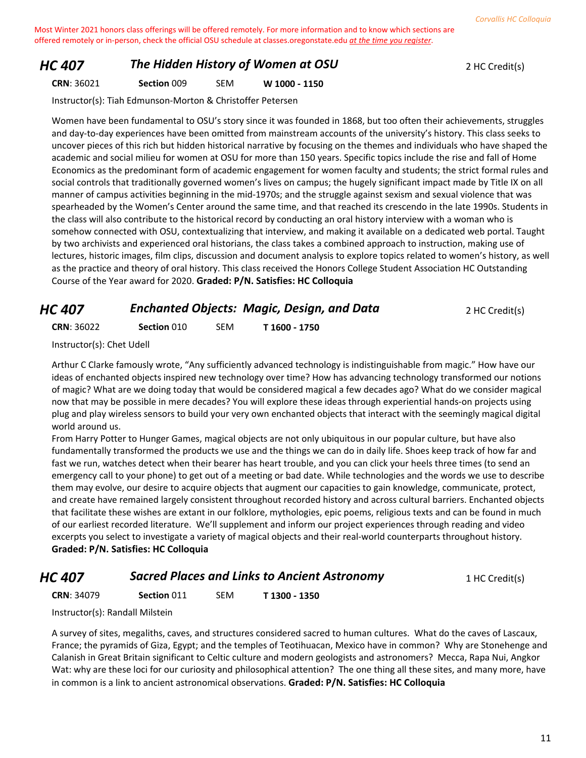#### *HC 407* **The Hidden History of Women at OSU** 2 HC Credit(s)

**CRN**: 36021 **Section** 009 SEM **W 1000 - 1150**

Instructor(s): Tiah Edmunson-Morton & Christoffer Petersen

Women have been fundamental to OSU's story since it was founded in 1868, but too often their achievements, struggles and day-to-day experiences have been omitted from mainstream accounts of the university's history. This class seeks to uncover pieces of this rich but hidden historical narrative by focusing on the themes and individuals who have shaped the academic and social milieu for women at OSU for more than 150 years. Specific topics include the rise and fall of Home Economics as the predominant form of academic engagement for women faculty and students; the strict formal rules and social controls that traditionally governed women's lives on campus; the hugely significant impact made by Title IX on all manner of campus activities beginning in the mid-1970s; and the struggle against sexism and sexual violence that was spearheaded by the Women's Center around the same time, and that reached its crescendo in the late 1990s. Students in the class will also contribute to the historical record by conducting an oral history interview with a woman who is somehow connected with OSU, contextualizing that interview, and making it available on a dedicated web portal. Taught by two archivists and experienced oral historians, the class takes a combined approach to instruction, making use of lectures, historic images, film clips, discussion and document analysis to explore topics related to women's history, as well as the practice and theory of oral history. This class received the Honors College Student Association HC Outstanding Course of the Year award for 2020. **Graded: P/N. Satisfies: HC Colloquia**

# *HC 407* **Enchanted Objects: Magic, Design, and Data** 2 HC Credit(s)

**CRN**: 36022 **Section** 010 SEM **T 1600 - 1750**

Instructor(s): Chet Udell

Arthur C Clarke famously wrote, "Any sufficiently advanced technology is indistinguishable from magic." How have our ideas of enchanted objects inspired new technology over time? How has advancing technology transformed our notions of magic? What are we doing today that would be considered magical a few decades ago? What do we consider magical now that may be possible in mere decades? You will explore these ideas through experiential hands-on projects using plug and play wireless sensors to build your very own enchanted objects that interact with the seemingly magical digital world around us.

From Harry Potter to Hunger Games, magical objects are not only ubiquitous in our popular culture, but have also fundamentally transformed the products we use and the things we can do in daily life. Shoes keep track of how far and fast we run, watches detect when their bearer has heart trouble, and you can click your heels three times (to send an emergency call to your phone) to get out of a meeting or bad date. While technologies and the words we use to describe them may evolve, our desire to acquire objects that augment our capacities to gain knowledge, communicate, protect, and create have remained largely consistent throughout recorded history and across cultural barriers. Enchanted objects that facilitate these wishes are extant in our folklore, mythologies, epic poems, religious texts and can be found in much of our earliest recorded literature. We'll supplement and inform our project experiences through reading and video excerpts you select to investigate a variety of magical objects and their real-world counterparts throughout history. **Graded: P/N. Satisfies: HC Colloquia**

#### *HC 407* **Sacred Places and Links to Ancient Astronomy** 1 HC Credit(s)

**CRN**: 34079 **Section** 011 SEM **T 1300 - 1350**

Instructor(s): Randall Milstein

A survey of sites, megaliths, caves, and structures considered sacred to human cultures. What do the caves of Lascaux, France; the pyramids of Giza, Egypt; and the temples of Teotihuacan, Mexico have in common? Why are Stonehenge and Calanish in Great Britain significant to Celtic culture and modern geologists and astronomers? Mecca, Rapa Nui, Angkor Wat: why are these loci for our curiosity and philosophical attention? The one thing all these sites, and many more, have in common is a link to ancient astronomical observations. **Graded: P/N. Satisfies: HC Colloquia**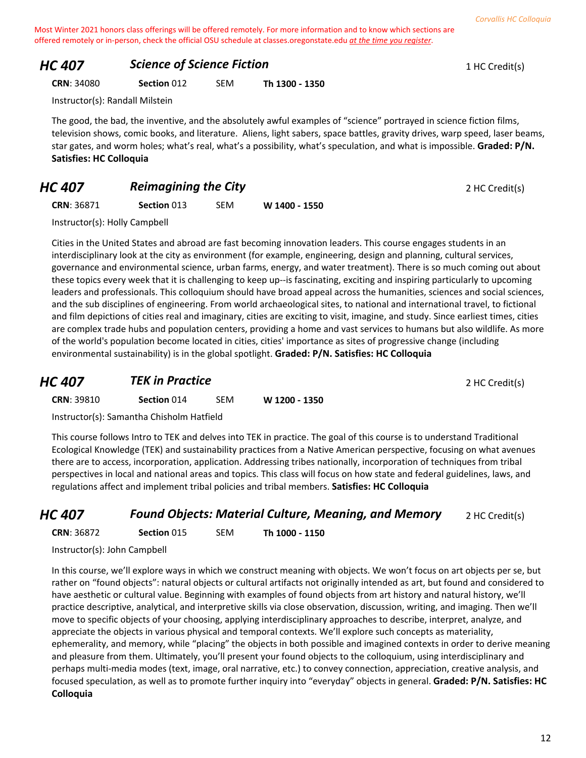# *HC 407* **Science of Science Fiction 1 HC Credit(s) 1 HC Credit(s)**

**CRN**: 34080 **Section** 012 SEM **Th 1300 - 1350**

Instructor(s): Randall Milstein

The good, the bad, the inventive, and the absolutely awful examples of "science" portrayed in science fiction films, television shows, comic books, and literature. Aliens, light sabers, space battles, gravity drives, warp speed, laser beams, star gates, and worm holes; what's real, what's a possibility, what's speculation, and what is impossible. **Graded: P/N. Satisfies: HC Colloquia**

# *HC 407* **Reimagining the City** *PHC 407 Reimagining the City PHC ADP <i>PHC Credit(s)*

| <b>CRN: 36871</b> | Section 013 | <b>SEM</b> | W 1400 - 1550 |
|-------------------|-------------|------------|---------------|
|-------------------|-------------|------------|---------------|

Instructor(s): Holly Campbell

Cities in the United States and abroad are fast becoming innovation leaders. This course engages students in an interdisciplinary look at the city as environment (for example, engineering, design and planning, cultural services, governance and environmental science, urban farms, energy, and water treatment). There is so much coming out about these topics every week that it is challenging to keep up--is fascinating, exciting and inspiring particularly to upcoming leaders and professionals. This colloquium should have broad appeal across the humanities, sciences and social sciences, and the sub disciplines of engineering. From world archaeological sites, to national and international travel, to fictional and film depictions of cities real and imaginary, cities are exciting to visit, imagine, and study. Since earliest times, cities are complex trade hubs and population centers, providing a home and vast services to humans but also wildlife. As more of the world's population become located in cities, cities' importance as sites of progressive change (including environmental sustainability) is in the global spotlight. **Graded: P/N. Satisfies: HC Colloquia**

# **HC 407 TEK in Practice** *TEK In Practice* 2 HC Credit(s)

**CRN**: 39810 **Section** 014 SEM **W 1200 - 1350**

Instructor(s): Samantha Chisholm Hatfield

This course follows Intro to TEK and delves into TEK in practice. The goal of this course is to understand Traditional Ecological Knowledge (TEK) and sustainability practices from a Native American perspective, focusing on what avenues there are to access, incorporation, application. Addressing tribes nationally, incorporation of techniques from tribal perspectives in local and national areas and topics. This class will focus on how state and federal guidelines, laws, and regulations affect and implement tribal policies and tribal members. **Satisfies: HC Colloquia**

# *HC 407* **Found Objects: Material Culture, Meaning, and Memory** 2 HC Credit(s)

**CRN**: 36872 **Section** 015 SEM **Th 1000 - 1150**

Instructor(s): John Campbell

In this course, we'll explore ways in which we construct meaning with objects. We won't focus on art objects per se, but rather on "found objects": natural objects or cultural artifacts not originally intended as art, but found and considered to have aesthetic or cultural value. Beginning with examples of found objects from art history and natural history, we'll practice descriptive, analytical, and interpretive skills via close observation, discussion, writing, and imaging. Then we'll move to specific objects of your choosing, applying interdisciplinary approaches to describe, interpret, analyze, and appreciate the objects in various physical and temporal contexts. We'll explore such concepts as materiality, ephemerality, and memory, while "placing" the objects in both possible and imagined contexts in order to derive meaning and pleasure from them. Ultimately, you'll present your found objects to the colloquium, using interdisciplinary and perhaps multi-media modes (text, image, oral narrative, etc.) to convey connection, appreciation, creative analysis, and focused speculation, as well as to promote further inquiry into "everyday" objects in general. **Graded: P/N. Satisfies: HC Colloquia**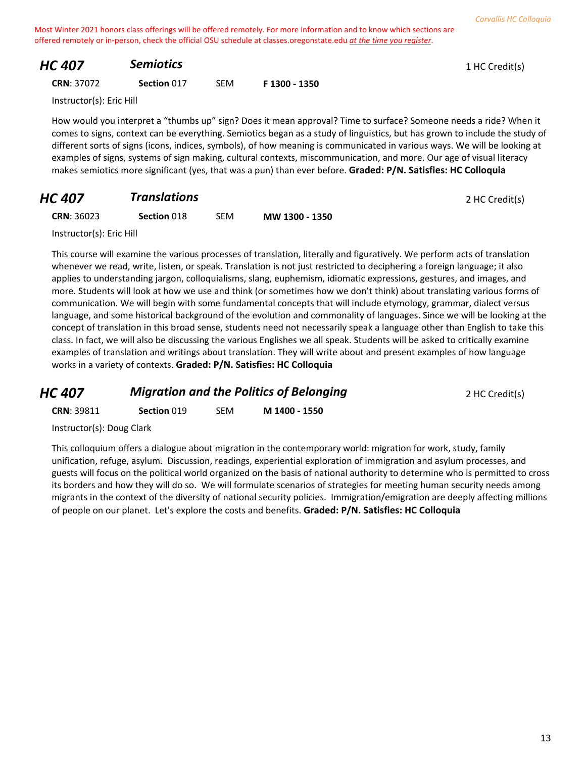# **HC 407 Semiotics Semiotics Semiotics 1** HC Credit(s)

**CRN**: 37072 **Section** 017 SEM **F 1300 - 1350**

Instructor(s): Eric Hill

How would you interpret a "thumbs up" sign? Does it mean approval? Time to surface? Someone needs a ride? When it comes to signs, context can be everything. Semiotics began as a study of linguistics, but has grown to include the study of different sorts of signs (icons, indices, symbols), of how meaning is communicated in various ways. We will be looking at examples of signs, systems of sign making, cultural contexts, miscommunication, and more. Our age of visual literacy makes semiotics more significant (yes, that was a pun) than ever before. **Graded: P/N. Satisfies: HC Colloquia**

# **HC 407 Translations 1.1 Translations 2 HC Credit(s)**

**CRN**: 36023 **Section** 018 SEM **MW 1300 - 1350**

Instructor(s): Eric Hill

This course will examine the various processes of translation, literally and figuratively. We perform acts of translation whenever we read, write, listen, or speak. Translation is not just restricted to deciphering a foreign language; it also applies to understanding jargon, colloquialisms, slang, euphemism, idiomatic expressions, gestures, and images, and more. Students will look at how we use and think (or sometimes how we don't think) about translating various forms of communication. We will begin with some fundamental concepts that will include etymology, grammar, dialect versus language, and some historical background of the evolution and commonality of languages. Since we will be looking at the concept of translation in this broad sense, students need not necessarily speak a language other than English to take this class. In fact, we will also be discussing the various Englishes we all speak. Students will be asked to critically examine examples of translation and writings about translation. They will write about and present examples of how language works in a variety of contexts. **Graded: P/N. Satisfies: HC Colloquia**

| <b>HC 407</b>     | <b>Migration and the Politics of Belonging</b> |     |               | 2 HC Credit(s) |
|-------------------|------------------------------------------------|-----|---------------|----------------|
| <b>CRN: 39811</b> | Section 019                                    | SEM | M 1400 - 1550 |                |

Instructor(s): Doug Clark

This colloquium offers a dialogue about migration in the contemporary world: migration for work, study, family unification, refuge, asylum. Discussion, readings, experiential exploration of immigration and asylum processes, and guests will focus on the political world organized on the basis of national authority to determine who is permitted to cross its borders and how they will do so. We will formulate scenarios of strategies for meeting human security needs among migrants in the context of the diversity of national security policies. Immigration/emigration are deeply affecting millions of people on our planet. Let's explore the costs and benefits. **Graded: P/N. Satisfies: HC Colloquia**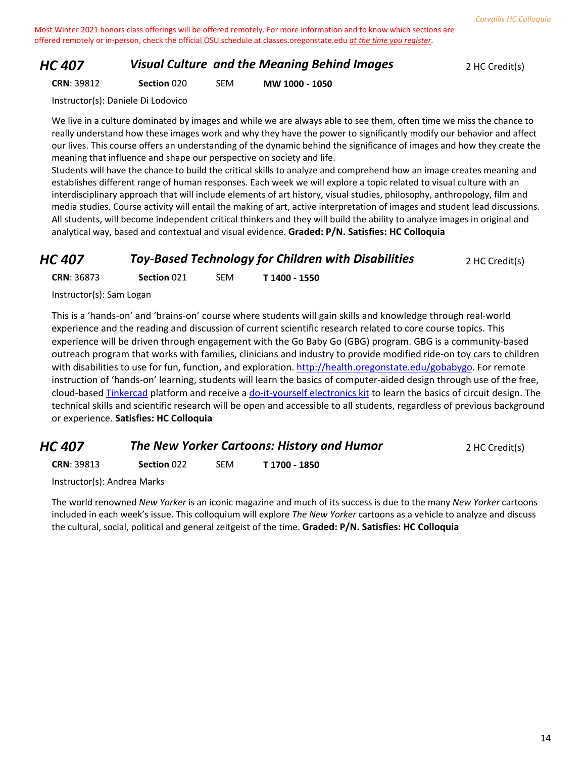#### *HC 407* **Visual Culture and the Meaning Behind Images** 2 HC Credit(s)

**CRN**: 39812 **Section** 020 SEM **MW 1000 - 1050**

Instructor(s): Daniele Di Lodovico

We live in a culture dominated by images and while we are always able to see them, often time we miss the chance to really understand how these images work and why they have the power to significantly modify our behavior and affect our lives. This course offers an understanding of the dynamic behind the significance of images and how they create the meaning that influence and shape our perspective on society and life.

Students will have the chance to build the critical skills to analyze and comprehend how an image creates meaning and establishes different range of human responses. Each week we will explore a topic related to visual culture with an interdisciplinary approach that will include elements of art history, visual studies, philosophy, anthropology, film and media studies. Course activity will entail the making of art, active interpretation of images and student lead discussions. All students, will become independent critical thinkers and they will build the ability to analyze images in original and analytical way, based and contextual and visual evidence. **Graded: P/N. Satisfies: HC Colloquia**

#### *HC 407* **Toy-Based Technology for Children with Disabilities** 2 HC Credit(s)

**CRN**: 36873 **Section** 021 SEM **T 1400 - 1550**

Instructor(s): Sam Logan

This is a 'hands-on' and 'brains-on' course where students will gain skills and knowledge through real-world experience and the reading and discussion of current scientific research related to core course topics. This experience will be driven through engagement with the Go Baby Go (GBG) program. GBG is a community-based outreach program that works with families, clinicians and industry to provide modified ride-on toy cars to children with disabilities to use for fun, function, and exploration. [http://health.oregonstate.edu/gobabygo.](http://health.oregonstate.edu/gobabygo) For remote instruction of 'hands-on' learning, students will learn the basics of computer-aided design through use of the free, cloud-based [Tinkercad](https://www.tinkercad.com/) platform and receive [a do-it-yourself electronics kit](https://www.amazon.com/Elenco-EP-50-Electronic-Playground-50-in-One/dp/B00000IUD2/ref=sr_1_1?dchild=1&keywords=electronic+playground&qid=1603126931&sr=8-1) to learn the basics of circuit design. The technical skills and scientific research will be open and accessible to all students, regardless of previous background or experience. **Satisfies: HC Colloquia**

# *HC 407* **The New Yorker Cartoons: History and Humor 2 HC Credit(s)**

**CRN**: 39813 **Section** 022 SEM **T 1700 - 1850**

Instructor(s): Andrea Marks

The world renowned *New Yorker* is an iconic magazine and much of its success is due to the many *New Yorker* cartoons included in each week's issue. This colloquium will explore *The New Yorker* cartoons as a vehicle to analyze and discuss the cultural, social, political and general zeitgeist of the time. **Graded: P/N. Satisfies: HC Colloquia**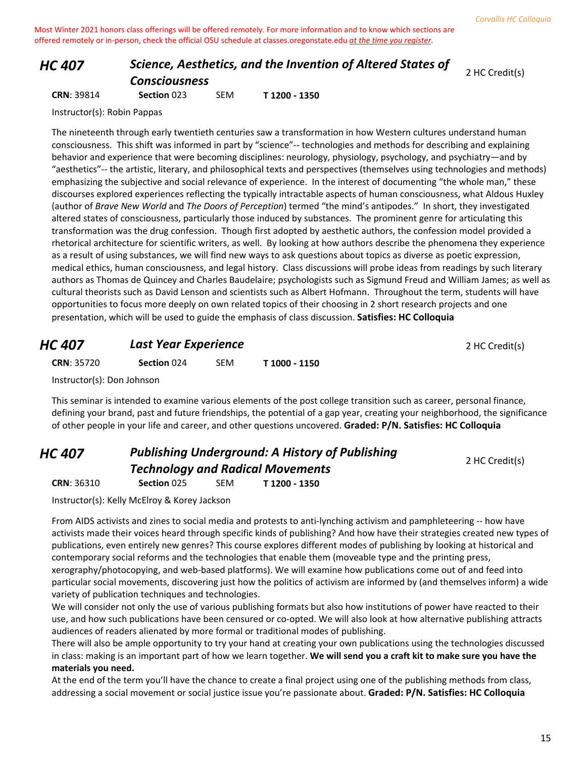# *HC 407 Science, Aesthetics, and the Invention of Altered States of Consciousness*

2 HC Credit(s)

**CRN**: 39814 **Section** 023 SEM **T 1200 - 1350** Instructor(s): Robin Pappas

The nineteenth through early twentieth centuries saw a transformation in how Western cultures understand human consciousness. This shift was informed in part by "science"-- technologies and methods for describing and explaining behavior and experience that were becoming disciplines: neurology, physiology, psychology, and psychiatry—and by "aesthetics"-- the artistic, literary, and philosophical texts and perspectives (themselves using technologies and methods) emphasizing the subjective and social relevance of experience. In the interest of documenting "the whole man," these discourses explored experiences reflecting the typically intractable aspects of human consciousness, what Aldous Huxley (author of *Brave New World* and *The Doors of Perception*) termed "the mind's antipodes." In short, they investigated altered states of consciousness, particularly those induced by substances. The prominent genre for articulating this transformation was the drug confession. Though first adopted by aesthetic authors, the confession model provided a rhetorical architecture for scientific writers, as well. By looking at how authors describe the phenomena they experience as a result of using substances, we will find new ways to ask questions about topics as diverse as poetic expression, medical ethics, human consciousness, and legal history. Class discussions will probe ideas from readings by such literary authors as Thomas de Quincey and Charles Baudelaire; psychologists such as Sigmund Freud and William James; as well as cultural theorists such as David Lenson and scientists such as Albert Hofmann. Throughout the term, students will have opportunities to focus more deeply on own related topics of their choosing in 2 short research projects and one presentation, which will be used to guide the emphasis of class discussion. **Satisfies: HC Colloquia**

# **HC 407 Last Year Experience 1997 <b>Last Year Experience 2 HC Credit(s) CRN**: 35720 **Section** 024 SEM **T 1000 - 1150** Instructor(s): Don Johnson

This seminar is intended to examine various elements of the post college transition such as career, personal finance, defining your brand, past and future friendships, the potential of a gap year, creating your neighborhood, the significance of other people in your life and career, and other questions uncovered. **Graded: P/N. Satisfies: HC Colloquia**

#### *HC 407 Publishing Underground: A History of Publishing Technology and Radical Movements* **CRN**: 36310 **Section** 025 SEM **T 1200 - 1350**

2 HC Credit(s)

Instructor(s): Kelly McElroy & Korey Jackson

From AIDS activists and zines to social media and protests to anti-lynching activism and pamphleteering -- how have activists made their voices heard through specific kinds of publishing? And how have their strategies created new types of publications, even entirely new genres? This course explores different modes of publishing by looking at historical and contemporary social reforms and the technologies that enable them (moveable type and the printing press, xerography/photocopying, and web-based platforms). We will examine how publications come out of and feed into particular social movements, discovering just how the politics of activism are informed by (and themselves inform) a wide variety of publication techniques and technologies.

We will consider not only the use of various publishing formats but also how institutions of power have reacted to their use, and how such publications have been censured or co-opted. We will also look at how alternative publishing attracts audiences of readers alienated by more formal or traditional modes of publishing.

There will also be ample opportunity to try your hand at creating your own publications using the technologies discussed in class: making is an important part of how we learn together. **We will send you a craft kit to make sure you have the materials you need.** 

At the end of the term you'll have the chance to create a final project using one of the publishing methods from class, addressing a social movement or social justice issue you're passionate about. **Graded: P/N. Satisfies: HC Colloquia**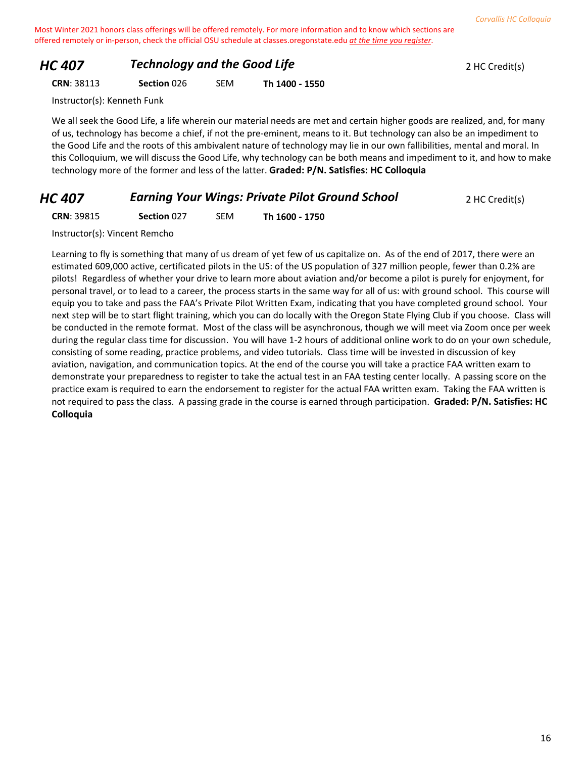# *HC 407 Technology and the Good Life PHC 407* 2 HC Credit(s)

**CRN**: 38113 **Section** 026 SEM **Th 1400 - 1550**

Instructor(s): Kenneth Funk

We all seek the Good Life, a life wherein our material needs are met and certain higher goods are realized, and, for many of us, technology has become a chief, if not the pre-eminent, means to it. But technology can also be an impediment to the Good Life and the roots of this ambivalent nature of technology may lie in our own fallibilities, mental and moral. In this Colloquium, we will discuss the Good Life, why technology can be both means and impediment to it, and how to make technology more of the former and less of the latter. **Graded: P/N. Satisfies: HC Colloquia**

# *HC 407* **Earning Your Wings: Private Pilot Ground School 2 HC Credit(s)**

**CRN**: 39815 **Section** 027 SEM **Th 1600 - 1750**

Instructor(s): Vincent Remcho

Learning to fly is something that many of us dream of yet few of us capitalize on. As of the end of 2017, there were an estimated 609,000 active, certificated pilots in the US: of the US population of 327 million people, fewer than 0.2% are pilots! Regardless of whether your drive to learn more about aviation and/or become a pilot is purely for enjoyment, for personal travel, or to lead to a career, the process starts in the same way for all of us: with ground school. This course will equip you to take and pass the FAA's Private Pilot Written Exam, indicating that you have completed ground school. Your next step will be to start flight training, which you can do locally with the Oregon State Flying Club if you choose. Class will be conducted in the remote format. Most of the class will be asynchronous, though we will meet via Zoom once per week during the regular class time for discussion. You will have 1-2 hours of additional online work to do on your own schedule, consisting of some reading, practice problems, and video tutorials. Class time will be invested in discussion of key aviation, navigation, and communication topics. At the end of the course you will take a practice FAA written exam to demonstrate your preparedness to register to take the actual test in an FAA testing center locally. A passing score on the practice exam is required to earn the endorsement to register for the actual FAA written exam. Taking the FAA written is not required to pass the class. A passing grade in the course is earned through participation. **Graded: P/N. Satisfies: HC Colloquia**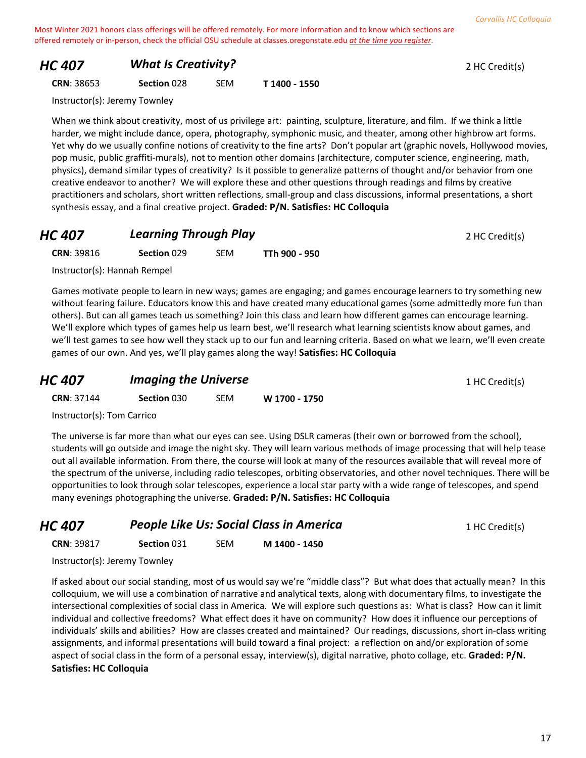# *HC 407 What Is Creativity?* 2 HC Credit(s)

**CRN**: 38653 **Section** 028 SEM **T 1400 - 1550**

Instructor(s): Jeremy Townley

When we think about creativity, most of us privilege art: painting, sculpture, literature, and film. If we think a little harder, we might include dance, opera, photography, symphonic music, and theater, among other highbrow art forms. Yet why do we usually confine notions of creativity to the fine arts? Don't popular art (graphic novels, Hollywood movies, pop music, public graffiti-murals), not to mention other domains (architecture, computer science, engineering, math, physics), demand similar types of creativity? Is it possible to generalize patterns of thought and/or behavior from one creative endeavor to another? We will explore these and other questions through readings and films by creative practitioners and scholars, short written reflections, small-group and class discussions, informal presentations, a short synthesis essay, and a final creative project. **Graded: P/N. Satisfies: HC Colloquia**

# **HC 407 Learning Through Play 2 HC Credit(s) 2 HC Credit(s)**

**CRN**: 39816 **Section** 029 SEM **TTh 900 - 950**

Instructor(s): Hannah Rempel

Games motivate people to learn in new ways; games are engaging; and games encourage learners to try something new without fearing failure. Educators know this and have created many educational games (some admittedly more fun than others). But can all games teach us something? Join this class and learn how different games can encourage learning. We'll explore which types of games help us learn best, we'll research what learning scientists know about games, and we'll test games to see how well they stack up to our fun and learning criteria. Based on what we learn, we'll even create games of our own. And yes, we'll play games along the way! **Satisfies: HC Colloquia**

| <b>HC 407</b> | <b>Imaging the Universe</b> | 1 HC Credit(s) |
|---------------|-----------------------------|----------------|
|               |                             |                |

**CRN**: 37144 **Section** 030 SEM **W 1700 - 1750**

Instructor(s): Tom Carrico

The universe is far more than what our eyes can see. Using DSLR cameras (their own or borrowed from the school), students will go outside and image the night sky. They will learn various methods of image processing that will help tease out all available information. From there, the course will look at many of the resources available that will reveal more of the spectrum of the universe, including radio telescopes, orbiting observatories, and other novel techniques. There will be opportunities to look through solar telescopes, experience a local star party with a wide range of telescopes, and spend many evenings photographing the universe. **Graded: P/N. Satisfies: HC Colloquia**

**CRN**: 39817 **Section** 031 SEM **M 1400 - 1450**

Instructor(s): Jeremy Townley

If asked about our social standing, most of us would say we're "middle class"? But what does that actually mean? In this colloquium, we will use a combination of narrative and analytical texts, along with documentary films, to investigate the intersectional complexities of social class in America. We will explore such questions as: What is class? How can it limit individual and collective freedoms? What effect does it have on community? How does it influence our perceptions of individuals' skills and abilities? How are classes created and maintained? Our readings, discussions, short in-class writing assignments, and informal presentations will build toward a final project: a reflection on and/or exploration of some aspect of social class in the form of a personal essay, interview(s), digital narrative, photo collage, etc. **Graded: P/N. Satisfies: HC Colloquia**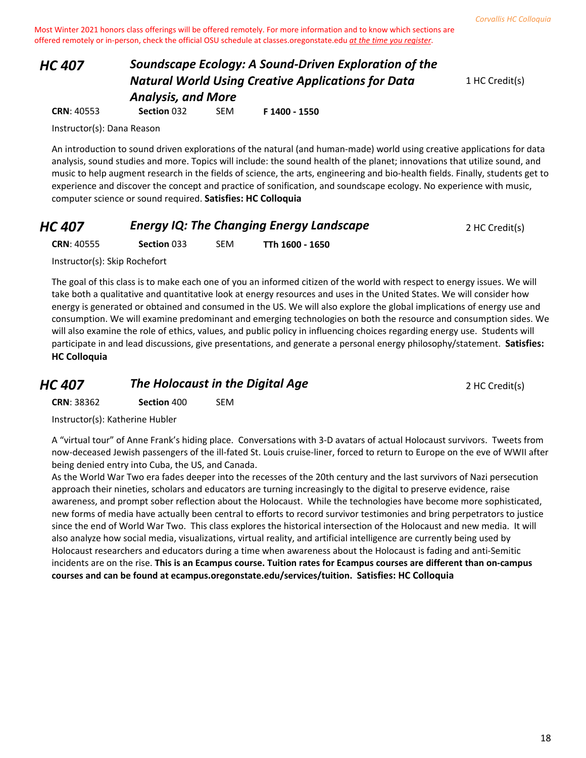# *HC 407 Soundscape Ecology: A Sound-Driven Exploration of the Natural World Using Creative Applications for Data Analysis, and More*

1 HC Credit(s)

Instructor(s): Dana Reason

An introduction to sound driven explorations of the natural (and human-made) world using creative applications for data analysis, sound studies and more. Topics will include: the sound health of the planet; innovations that utilize sound, and music to help augment research in the fields of science, the arts, engineering and bio-health fields. Finally, students get to experience and discover the concept and practice of sonification, and soundscape ecology. No experience with music, computer science or sound required. **Satisfies: HC Colloquia**

| HC 407 | <b>Energy IQ: The Changing Energy Landscape</b> | 2 HC Credit(s) |
|--------|-------------------------------------------------|----------------|
|--------|-------------------------------------------------|----------------|

**CRN**: 40555 **Section** 033 SEM **TTh 1600 - 1650**

**CRN**: 40553 **Section** 032 SEM **F 1400 - 1550**

Instructor(s): Skip Rochefort

The goal of this class is to make each one of you an informed citizen of the world with respect to energy issues. We will take both a qualitative and quantitative look at energy resources and uses in the United States. We will consider how energy is generated or obtained and consumed in the US. We will also explore the global implications of energy use and consumption. We will examine predominant and emerging technologies on both the resource and consumption sides. We will also examine the role of ethics, values, and public policy in influencing choices regarding energy use. Students will participate in and lead discussions, give presentations, and generate a personal energy philosophy/statement. **Satisfies: HC Colloquia**

*HC 407* **The Holocaust in the Digital Age** 2 HC Credit(s)

**CRN**: 38362 **Section** 400 SEM

Instructor(s): Katherine Hubler

A "virtual tour" of Anne Frank's hiding place. Conversations with 3-D avatars of actual Holocaust survivors. Tweets from now-deceased Jewish passengers of the ill-fated St. Louis cruise-liner, forced to return to Europe on the eve of WWII after being denied entry into Cuba, the US, and Canada.

As the World War Two era fades deeper into the recesses of the 20th century and the last survivors of Nazi persecution approach their nineties, scholars and educators are turning increasingly to the digital to preserve evidence, raise awareness, and prompt sober reflection about the Holocaust. While the technologies have become more sophisticated, new forms of media have actually been central to efforts to record survivor testimonies and bring perpetrators to justice since the end of World War Two. This class explores the historical intersection of the Holocaust and new media. It will also analyze how social media, visualizations, virtual reality, and artificial intelligence are currently being used by Holocaust researchers and educators during a time when awareness about the Holocaust is fading and anti-Semitic incidents are on the rise. **This is an Ecampus course. Tuition rates for Ecampus courses are different than on-campus courses and can be found at ecampus.oregonstate.edu/services/tuition. Satisfies: HC Colloquia**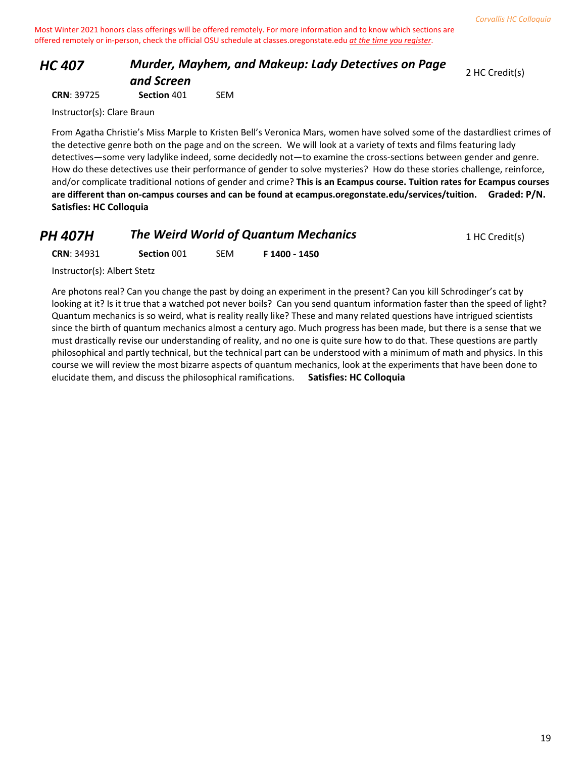# *HC 407 Murder, Mayhem, and Makeup: Lady Detectives on Page and Screen*

2 HC Credit(s)

**CRN**: 39725 **Section** 401 SEM

Instructor(s): Clare Braun

From Agatha Christie's Miss Marple to Kristen Bell's Veronica Mars, women have solved some of the dastardliest crimes of the detective genre both on the page and on the screen. We will look at a variety of texts and films featuring lady detectives—some very ladylike indeed, some decidedly not—to examine the cross-sections between gender and genre. How do these detectives use their performance of gender to solve mysteries? How do these stories challenge, reinforce, and/or complicate traditional notions of gender and crime? **This is an Ecampus course. Tuition rates for Ecampus courses are different than on-campus courses and can be found at ecampus.oregonstate.edu/services/tuition. Graded: P/N. Satisfies: HC Colloquia**

| 1 HC Credit(s) |
|----------------|
|                |

**CRN**: 34931 **Section** 001 SEM **F 1400 - 1450**

Instructor(s): Albert Stetz

Are photons real? Can you change the past by doing an experiment in the present? Can you kill Schrodinger's cat by looking at it? Is it true that a watched pot never boils? Can you send quantum information faster than the speed of light? Quantum mechanics is so weird, what is reality really like? These and many related questions have intrigued scientists since the birth of quantum mechanics almost a century ago. Much progress has been made, but there is a sense that we must drastically revise our understanding of reality, and no one is quite sure how to do that. These questions are partly philosophical and partly technical, but the technical part can be understood with a minimum of math and physics. In this course we will review the most bizarre aspects of quantum mechanics, look at the experiments that have been done to elucidate them, and discuss the philosophical ramifications. **Satisfies: HC Colloquia**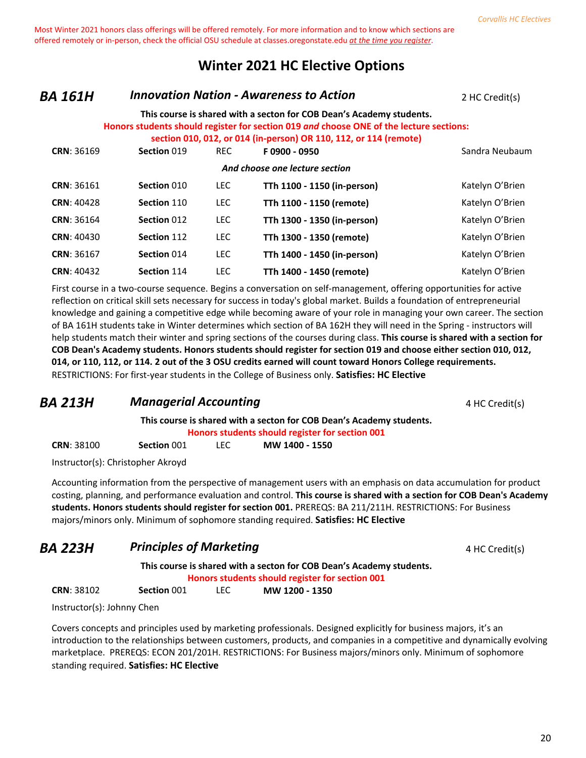# **Winter 2021 HC Elective Options**

#### *BA 161H Innovation Nation - Awareness to Action* 2 HC Credit(s)

#### **This course is shared with a secton for COB Dean's Academy students. Honors students should register for section 019** *and* **choose ONE of the lecture sections:**

|                   |             |            | section 010, 012, or 014 (in-person) OR 110, 112, or 114 (remote) |                 |
|-------------------|-------------|------------|-------------------------------------------------------------------|-----------------|
| <b>CRN: 36169</b> | Section 019 | <b>REC</b> | F0900 - 0950                                                      | Sandra Neubaum  |
|                   |             |            | And choose one lecture section                                    |                 |
| <b>CRN: 36161</b> | Section 010 | <b>LEC</b> | TTh 1100 - 1150 (in-person)                                       | Katelyn O'Brien |
| <b>CRN: 40428</b> | Section 110 | <b>LEC</b> | TTh 1100 - 1150 (remote)                                          | Katelyn O'Brien |
| <b>CRN: 36164</b> | Section 012 | <b>LEC</b> | TTh 1300 - 1350 (in-person)                                       | Katelyn O'Brien |
| <b>CRN: 40430</b> | Section 112 | <b>LEC</b> | TTh 1300 - 1350 (remote)                                          | Katelyn O'Brien |
| <b>CRN: 36167</b> | Section 014 | <b>LEC</b> | TTh 1400 - 1450 (in-person)                                       | Katelyn O'Brien |
| <b>CRN: 40432</b> | Section 114 | <b>LEC</b> | TTh 1400 - 1450 (remote)                                          | Katelyn O'Brien |

First course in a two-course sequence. Begins a conversation on self-management, offering opportunities for active reflection on critical skill sets necessary for success in today's global market. Builds a foundation of entrepreneurial knowledge and gaining a competitive edge while becoming aware of your role in managing your own career. The section of BA 161H students take in Winter determines which section of BA 162H they will need in the Spring - instructors will help students match their winter and spring sections of the courses during class. **This course is shared with a section for COB Dean's Academy students. Honors students should register for section 019 and choose either section 010, 012, 014, or 110, 112, or 114. 2 out of the 3 OSU credits earned will count toward Honors College requirements.** RESTRICTIONS: For first-year students in the College of Business only. **Satisfies: HC Elective**

# **BA 213H Managerial Accounting Accounting** 4 HC Credit(s)

**This course is shared with a secton for COB Dean's Academy students.**

**Honors students should register for section 001**

| <b>CRN: 38100</b> | Section 001 | LEC | MW 1400 - 1550 |
|-------------------|-------------|-----|----------------|
|                   |             |     |                |

Instructor(s): Christopher Akroyd

Accounting information from the perspective of management users with an emphasis on data accumulation for product costing, planning, and performance evaluation and control. **This course is shared with a section for COB Dean's Academy students. Honors students should register for section 001.** PREREQS: BA 211/211H. RESTRICTIONS: For Business majors/minors only. Minimum of sophomore standing required. **Satisfies: HC Elective**

# **BA 223H Principles of Marketing A Principles of Marketing A HC Credit(s)**

**This course is shared with a secton for COB Dean's Academy students.**

**Honors students should register for section 001**

**CRN**: 38102 **Section** 001 LEC **MW 1200 - 1350**

Instructor(s): Johnny Chen

Covers concepts and principles used by marketing professionals. Designed explicitly for business majors, it's an introduction to the relationships between customers, products, and companies in a competitive and dynamically evolving marketplace. PREREQS: ECON 201/201H. RESTRICTIONS: For Business majors/minors only. Minimum of sophomore standing required. **Satisfies: HC Elective**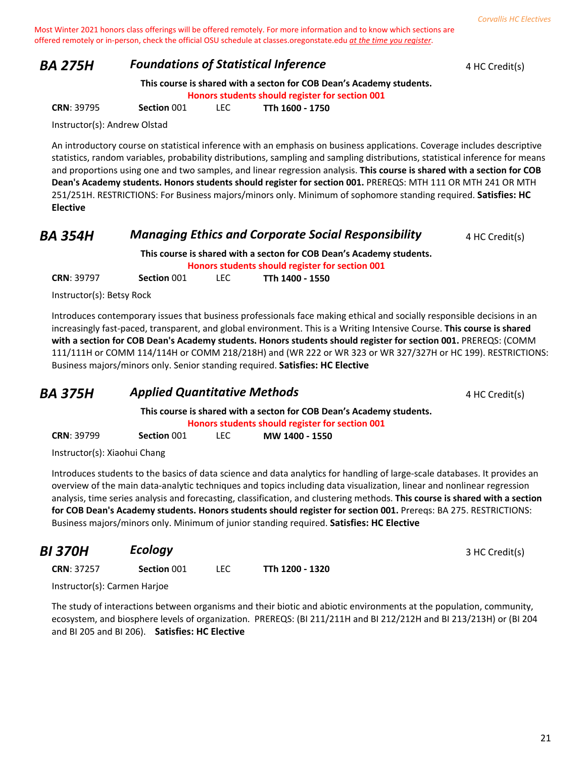#### **BA 275H Foundations of Statistical Inference** 4 HC Credit(s)

**This course is shared with a secton for COB Dean's Academy students.**

**Honors students should register for section 001**

**CRN**: 39795 **Section** 001 LEC **TTh 1600 - 1750**

Instructor(s): Andrew Olstad

An introductory course on statistical inference with an emphasis on business applications. Coverage includes descriptive statistics, random variables, probability distributions, sampling and sampling distributions, statistical inference for means and proportions using one and two samples, and linear regression analysis. **This course is shared with a section for COB Dean's Academy students. Honors students should register for section 001.** PREREQS: MTH 111 OR MTH 241 OR MTH 251/251H. RESTRICTIONS: For Business majors/minors only. Minimum of sophomore standing required. **Satisfies: HC Elective**

#### **BA 354H Managing Ethics and Corporate Social Responsibility** 4 HC Credit(s)

**This course is shared with a secton for COB Dean's Academy students. Honors students should register for section 001 CRN**: 39797 **Section** 001 LEC **TTh 1400 - 1550**

Instructor(s): Betsy Rock

Introduces contemporary issues that business professionals face making ethical and socially responsible decisions in an increasingly fast-paced, transparent, and global environment. This is a Writing Intensive Course. **This course is shared with a section for COB Dean's Academy students. Honors students should register for section 001.** PREREQS: (COMM 111/111H or COMM 114/114H or COMM 218/218H) and (WR 222 or WR 323 or WR 327/327H or HC 199). RESTRICTIONS: Business majors/minors only. Senior standing required. **Satisfies: HC Elective**

#### **BA 375H Applied Quantitative Methods 4 HC Credit(s) 4 HC Credit(s)**

**This course is shared with a secton for COB Dean's Academy students. Honors students should register for section 001 CRN**: 39799 **Section** 001 LEC **MW 1400 - 1550**

Instructor(s): Xiaohui Chang

Introduces students to the basics of data science and data analytics for handling of large-scale databases. It provides an overview of the main data-analytic techniques and topics including data visualization, linear and nonlinear regression analysis, time series analysis and forecasting, classification, and clustering methods. **This course is shared with a section for COB Dean's Academy students. Honors students should register for section 001.** Prereqs: BA 275. RESTRICTIONS: Business majors/minors only. Minimum of junior standing required. **Satisfies: HC Elective**

| BI 370H                      | Ecology     |            |                 | 3 HC Credit(s) |
|------------------------------|-------------|------------|-----------------|----------------|
| <b>CRN: 37257</b>            | Section 001 | <b>LEC</b> | TTh 1200 - 1320 |                |
| Instructor(s): Carmen Harjoe |             |            |                 |                |

The study of interactions between organisms and their biotic and abiotic environments at the population, community, ecosystem, and biosphere levels of organization. PREREQS: (BI 211/211H and BI 212/212H and BI 213/213H) or (BI 204 and BI 205 and BI 206). **Satisfies: HC Elective**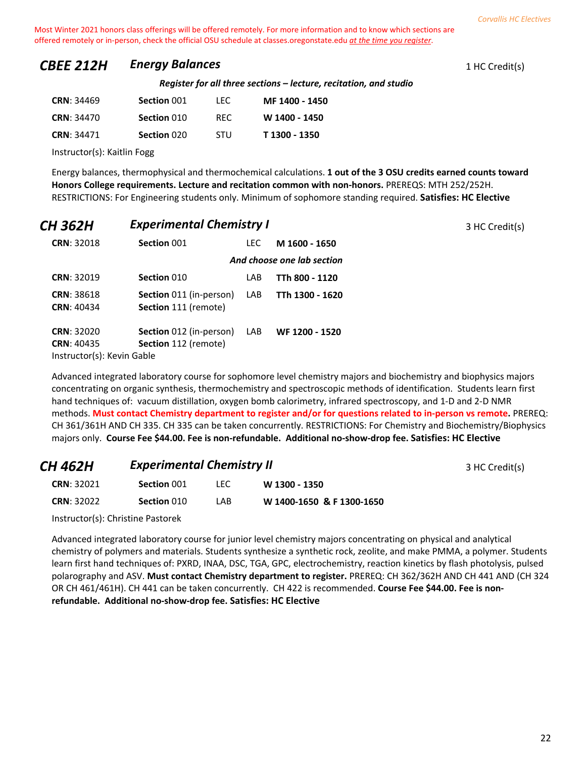# **CBEE 212H Energy Balances** 1 HC Credit(s)

*Register for all three sections – lecture, recitation, and studio*

| <b>CRN: 34469</b> | Section 001 | TEC.       | MF 1400 - 1450 |
|-------------------|-------------|------------|----------------|
| <b>CRN: 34470</b> | Section 010 | RFC.       | W 1400 - 1450  |
| <b>CRN: 34471</b> | Section 020 | <b>STU</b> | T 1300 - 1350  |

Instructor(s): Kaitlin Fogg

Energy balances, thermophysical and thermochemical calculations. **1 out of the 3 OSU credits earned counts toward Honors College requirements. Lecture and recitation common with non-honors.** PREREQS: MTH 252/252H. RESTRICTIONS: For Engineering students only. Minimum of sophomore standing required. **Satisfies: HC Elective**

| CH 362H                    | <b>Experimental Chemistry I</b> |            |                            | 3 HC Credit(s) |
|----------------------------|---------------------------------|------------|----------------------------|----------------|
| <b>CRN: 32018</b>          | Section 001                     | <b>LEC</b> | M 1600 - 1650              |                |
|                            |                                 |            | And choose one lab section |                |
| <b>CRN: 32019</b>          | Section 010                     | LAB.       | TTh 800 - 1120             |                |
| <b>CRN: 38618</b>          | <b>Section</b> 011 (in-person)  | LAB        | TTh 1300 - 1620            |                |
| <b>CRN: 40434</b>          | <b>Section</b> 111 (remote)     |            |                            |                |
| <b>CRN: 32020</b>          | <b>Section</b> 012 (in-person)  | LAB        | WF 1200 - 1520             |                |
| <b>CRN: 40435</b>          | <b>Section</b> 112 (remote)     |            |                            |                |
| Instructor(s): Kevin Gable |                                 |            |                            |                |

Advanced integrated laboratory course for sophomore level chemistry majors and biochemistry and biophysics majors concentrating on organic synthesis, thermochemistry and spectroscopic methods of identification. Students learn first hand techniques of: vacuum distillation, oxygen bomb calorimetry, infrared spectroscopy, and 1-D and 2-D NMR methods. **Must contact Chemistry department to register and/or for questions related to in-person vs remote.** PREREQ: CH 361/361H AND CH 335. CH 335 can be taken concurrently. RESTRICTIONS: For Chemistry and Biochemistry/Biophysics majors only. **Course Fee \$44.00. Fee is non-refundable. Additional no-show-drop fee. Satisfies: HC Elective**

| CH 462H           | <b>Experimental Chemistry II</b> |      |                           | 3 HC Credit(s) |
|-------------------|----------------------------------|------|---------------------------|----------------|
| <b>CRN: 32021</b> | Section 001                      | TEC. | W 1300 - 1350             |                |
| <b>CRN: 32022</b> | Section 010                      | LAB  | W 1400-1650 & F 1300-1650 |                |

Instructor(s): Christine Pastorek

Advanced integrated laboratory course for junior level chemistry majors concentrating on physical and analytical chemistry of polymers and materials. Students synthesize a synthetic rock, zeolite, and make PMMA, a polymer. Students learn first hand techniques of: PXRD, INAA, DSC, TGA, GPC, electrochemistry, reaction kinetics by flash photolysis, pulsed polarography and ASV. **Must contact Chemistry department to register.** PREREQ: CH 362/362H AND CH 441 AND (CH 324 OR CH 461/461H). CH 441 can be taken concurrently. CH 422 is recommended. **Course Fee \$44.00. Fee is nonrefundable. Additional no-show-drop fee. Satisfies: HC Elective**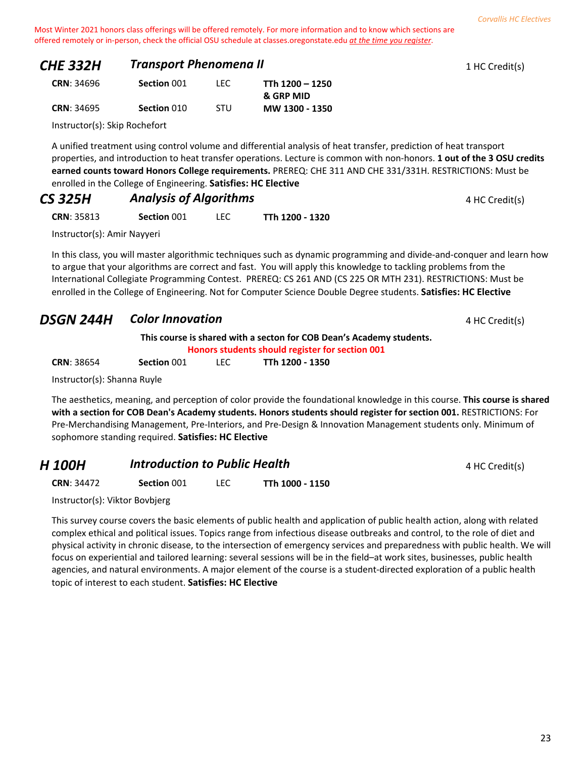| <b>CHE 332H</b>   | <b>Transport Phenomena II</b> |  |                      | 1 HC Credit(s) |
|-------------------|-------------------------------|--|----------------------|----------------|
| <b>CRN: 34696</b> | Section 001                   |  | TTh 1200 – 1250      |                |
|                   |                               |  | <b>&amp; GRP MID</b> |                |

|                   |             |            | & GRP MID      |
|-------------------|-------------|------------|----------------|
| <b>CRN: 34695</b> | Section 010 | <b>STU</b> | MW 1300 - 1350 |

Instructor(s): Skip Rochefort

A unified treatment using control volume and differential analysis of heat transfer, prediction of heat transport properties, and introduction to heat transfer operations. Lecture is common with non-honors. **1 out of the 3 OSU credits earned counts toward Honors College requirements.** PREREQ: CHE 311 AND CHE 331/331H. RESTRICTIONS: Must be enrolled in the College of Engineering. **Satisfies: HC Elective**

| <b>CS 325H</b> | <b>Analysis of Algorithms</b> | 4 HC Credit(s) |
|----------------|-------------------------------|----------------|
|----------------|-------------------------------|----------------|

**CRN**: 35813 **Section** 001 LEC **TTh 1200 - 1320**

Instructor(s): Amir Nayyeri

In this class, you will master algorithmic techniques such as dynamic programming and divide-and-conquer and learn how to argue that your algorithms are correct and fast. You will apply this knowledge to tackling problems from the International Collegiate Programming Contest. PREREQ: CS 261 AND (CS 225 OR MTH 231). RESTRICTIONS: Must be enrolled in the College of Engineering. Not for Computer Science Double Degree students. **Satisfies: HC Elective**

# **DSGN 244H Color Innovation COLOR 100 AM 244HC Credit(s)**

**This course is shared with a secton for COB Dean's Academy students.**

**Honors students should register for section 001**

| <b>CRN: 38654</b> | Section 001 | TTh 1200 - 1350 |  |
|-------------------|-------------|-----------------|--|
|                   |             |                 |  |

Instructor(s): Shanna Ruyle

The aesthetics, meaning, and perception of color provide the foundational knowledge in this course. **This course is shared with a section for COB Dean's Academy students. Honors students should register for section 001.** RESTRICTIONS: For Pre-Merchandising Management, Pre-Interiors, and Pre-Design & Innovation Management students only. Minimum of sophomore standing required. **Satisfies: HC Elective**

| H 100H            | <b>Introduction to Public Health</b> |  |                 | 4 HC Credit(s) |
|-------------------|--------------------------------------|--|-----------------|----------------|
| <b>CRN: 34472</b> | Section 001                          |  | TTh 1000 - 1150 |                |

Instructor(s): Viktor Bovbjerg

This survey course covers the basic elements of public health and application of public health action, along with related complex ethical and political issues. Topics range from infectious disease outbreaks and control, to the role of diet and physical activity in chronic disease, to the intersection of emergency services and preparedness with public health. We will focus on experiential and tailored learning: several sessions will be in the field–at work sites, businesses, public health agencies, and natural environments. A major element of the course is a student-directed exploration of a public health topic of interest to each student. **Satisfies: HC Elective**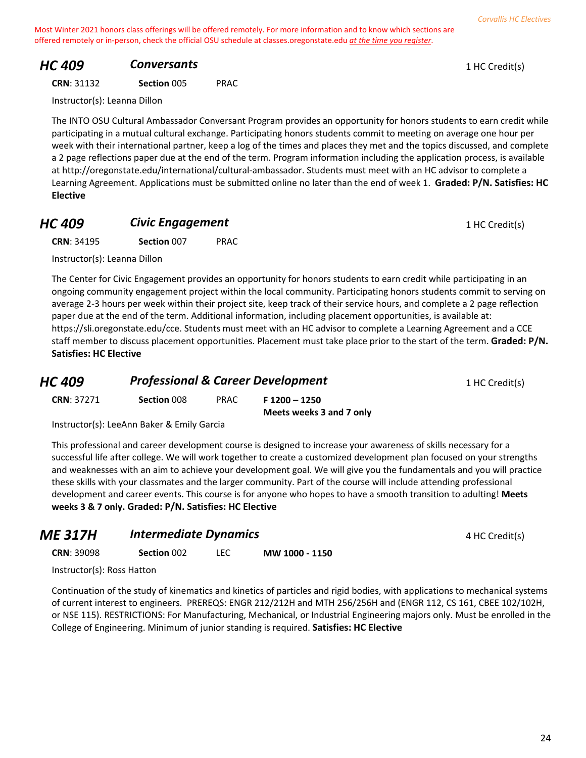# **HC 409 Conversants Conversants 1** HC Credit(s)

| <b>CRN: 31132</b> | Section 005 | <b>PRAC</b> |
|-------------------|-------------|-------------|
|                   |             |             |

Instructor(s): Leanna Dillon

The INTO OSU Cultural Ambassador Conversant Program provides an opportunity for honors students to earn credit while participating in a mutual cultural exchange. Participating honors students commit to meeting on average one hour per week with their international partner, keep a log of the times and places they met and the topics discussed, and complete a 2 page reflections paper due at the end of the term. Program information including the application process, is available at http://oregonstate.edu/international/cultural-ambassador. Students must meet with an HC advisor to complete a Learning Agreement. Applications must be submitted online no later than the end of week 1. **Graded: P/N. Satisfies: HC Elective**

# **HC 409 Civic Engagement Civic Engagement** 1 HC Credit(s)

**CRN**: 34195 **Section** 007 PRAC

Instructor(s): Leanna Dillon

The Center for Civic Engagement provides an opportunity for honors students to earn credit while participating in an ongoing community engagement project within the local community. Participating honors students commit to serving on average 2-3 hours per week within their project site, keep track of their service hours, and complete a 2 page reflection paper due at the end of the term. Additional information, including placement opportunities, is available at: https://sli.oregonstate.edu/cce. Students must meet with an HC advisor to complete a Learning Agreement and a CCE staff member to discuss placement opportunities. Placement must take place prior to the start of the term. **Graded: P/N. Satisfies: HC Elective**

| HC 409             | <b>Professional &amp; Career Development</b> |      |               | 1 HC Credit(s) |
|--------------------|----------------------------------------------|------|---------------|----------------|
| <b>CRN</b> : 37271 | Section 008                                  | PRAC | F 1200 - 1250 |                |

Instructor(s): LeeAnn Baker & Emily Garcia

This professional and career development course is designed to increase your awareness of skills necessary for a successful life after college. We will work together to create a customized development plan focused on your strengths and weaknesses with an aim to achieve your development goal. We will give you the fundamentals and you will practice these skills with your classmates and the larger community. Part of the course will include attending professional development and career events. This course is for anyone who hopes to have a smooth transition to adulting! **Meets weeks 3 & 7 only. Graded: P/N. Satisfies: HC Elective**

**Meets weeks 3 and 7 only**

| ME 317H           | <b>Intermediate Dynamics</b> |     |                | 4 HC Credit(s) |
|-------------------|------------------------------|-----|----------------|----------------|
| <b>CRN: 39098</b> | Section 002                  | LEC | MW 1000 - 1150 |                |
|                   |                              |     |                |                |

Instructor(s): Ross Hatton

Continuation of the study of kinematics and kinetics of particles and rigid bodies, with applications to mechanical systems of current interest to engineers. PREREQS: ENGR 212/212H and MTH 256/256H and (ENGR 112, CS 161, CBEE 102/102H, or NSE 115). RESTRICTIONS: For Manufacturing, Mechanical, or Industrial Engineering majors only. Must be enrolled in the College of Engineering. Minimum of junior standing is required. **Satisfies: HC Elective**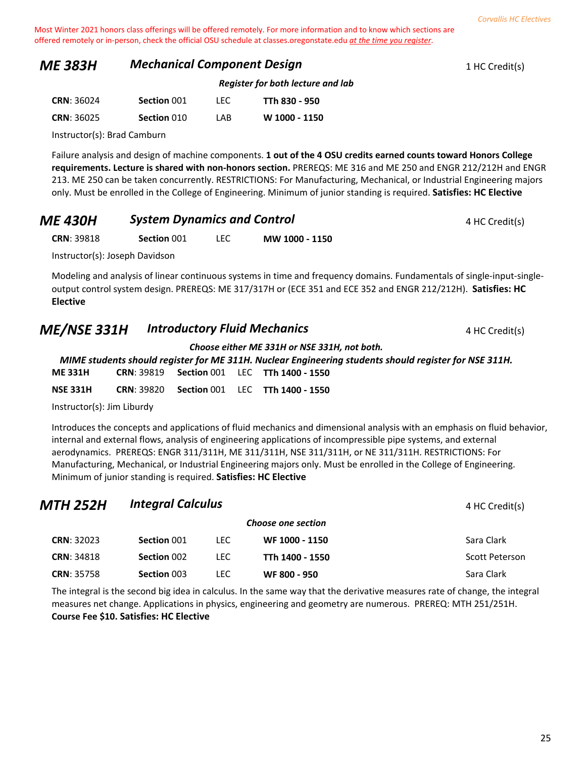#### **ME 383H Mechanical Component Design** 1 HC Credit(s)

| Register for both lecture and lab |
|-----------------------------------|
|-----------------------------------|

| <b>CRN: 36024</b> | Section 001 | TEC. | TTh 830 - 950 |
|-------------------|-------------|------|---------------|
| <b>CRN: 36025</b> | Section 010 | I AB | W 1000 - 1150 |

Instructor(s): Brad Camburn

Failure analysis and design of machine components. **1 out of the 4 OSU credits earned counts toward Honors College requirements. Lecture is shared with non-honors section.** PREREQS: ME 316 and ME 250 and ENGR 212/212H and ENGR 213. ME 250 can be taken concurrently. RESTRICTIONS: For Manufacturing, Mechanical, or Industrial Engineering majors only. Must be enrolled in the College of Engineering. Minimum of junior standing is required. **Satisfies: HC Elective**

| <b>ME 430H</b> | <b>System Dynamics and Control</b> | 4 HC Credit(s) |
|----------------|------------------------------------|----------------|
|                |                                    |                |

**CRN**: 39818 **Section** 001 LEC **MW 1000 - 1150**

Instructor(s): Joseph Davidson

Modeling and analysis of linear continuous systems in time and frequency domains. Fundamentals of single-input-singleoutput control system design. PREREQS: ME 317/317H or (ECE 351 and ECE 352 and ENGR 212/212H). **Satisfies: HC Elective**

# **ME/NSE 331H Introductory Fluid Mechanics** A HC Credit(s)

*Choose either ME 331H or NSE 331H, not both.*

*MIME students should register for ME 311H. Nuclear Engineering students should register for NSE 311H.* **ME 331H CRN**: 39819 **Section** 001 LEC **TTh 1400 - 1550**

**NSE 331H CRN**: 39820 **Section** 001 LEC **TTh 1400 - 1550**

Instructor(s): Jim Liburdy

Introduces the concepts and applications of fluid mechanics and dimensional analysis with an emphasis on fluid behavior, internal and external flows, analysis of engineering applications of incompressible pipe systems, and external aerodynamics. PREREQS: ENGR 311/311H, ME 311/311H, NSE 311/311H, or NE 311/311H. RESTRICTIONS: For Manufacturing, Mechanical, or Industrial Engineering majors only. Must be enrolled in the College of Engineering. Minimum of junior standing is required. **Satisfies: HC Elective**

| MTH 252H          | <b>Integral Calculus</b> |      |                    | 4 HC Credit(s) |
|-------------------|--------------------------|------|--------------------|----------------|
|                   |                          |      | Choose one section |                |
| <b>CRN: 32023</b> | Section 001              | LEC. | WF 1000 - 1150     | Sara Clark     |
| <b>CRN: 34818</b> | Section 002              | LEC. | TTh 1400 - 1550    | Scott Peterson |
| <b>CRN: 35758</b> | Section 003              | LEC. | WF 800 - 950       | Sara Clark     |

The integral is the second big idea in calculus. In the same way that the derivative measures rate of change, the integral measures net change. Applications in physics, engineering and geometry are numerous. PREREQ: MTH 251/251H. **Course Fee \$10. Satisfies: HC Elective**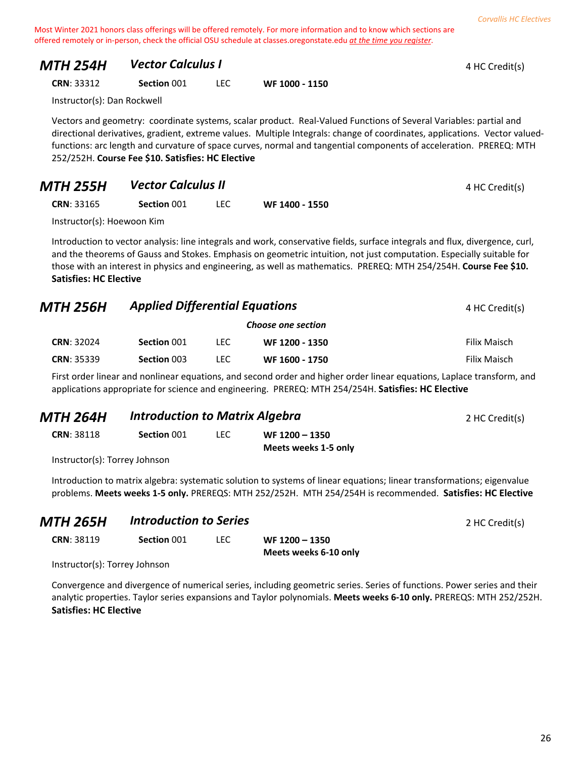| <b>MTH 254H</b> | <b>Vector Calculus I</b> | 4 HC Credit(s) |
|-----------------|--------------------------|----------------|
|-----------------|--------------------------|----------------|

**CRN**: 33312 **Section** 001 LEC **WF 1000 - 1150**

Instructor(s): Dan Rockwell

Vectors and geometry: coordinate systems, scalar product. Real-Valued Functions of Several Variables: partial and directional derivatives, gradient, extreme values. Multiple Integrals: change of coordinates, applications. Vector valuedfunctions: arc length and curvature of space curves, normal and tangential components of acceleration. PREREQ: MTH 252/252H. **Course Fee \$10. Satisfies: HC Elective**

| <b>MTH 255H</b>   | <b>Vector Calculus II</b> |                | 4 HC Credit(s) |
|-------------------|---------------------------|----------------|----------------|
| <b>CRN: 33165</b> | Section 001               | WF 1400 - 1550 |                |

Instructor(s): Hoewoon Kim

Introduction to vector analysis: line integrals and work, conservative fields, surface integrals and flux, divergence, curl, and the theorems of Gauss and Stokes. Emphasis on geometric intuition, not just computation. Especially suitable for those with an interest in physics and engineering, as well as mathematics. PREREQ: MTH 254/254H. **Course Fee \$10. Satisfies: HC Elective**

| <b>MTH 256H</b>   | <b>Applied Differential Equations</b> |      |                    | 4 HC Credit(s) |
|-------------------|---------------------------------------|------|--------------------|----------------|
|                   |                                       |      | Choose one section |                |
| <b>CRN: 32024</b> | Section 001                           | LEC. | WF 1200 - 1350     | Filix Maisch   |
| <b>CRN: 35339</b> | Section 003                           | LEC. | WF 1600 - 1750     | Filix Maisch   |

First order linear and nonlinear equations, and second order and higher order linear equations, Laplace transform, and applications appropriate for science and engineering. PREREQ: MTH 254/254H. **Satisfies: HC Elective**

| MTH 264H                      | <b>Introduction to Matrix Algebra</b> | 2 HC Credit(s) |                                          |  |
|-------------------------------|---------------------------------------|----------------|------------------------------------------|--|
| <b>CRN: 38118</b>             | Section 001                           | LEC.           | $WF 1200 - 1350$<br>Meets weeks 1-5 only |  |
| Instructor(s): Torrey Iohnson |                                       |                |                                          |  |

Instructor(s): Torrey Johnson

Introduction to matrix algebra: systematic solution to systems of linear equations; linear transformations; eigenvalue problems. **Meets weeks 1-5 only.** PREREQS: MTH 252/252H. MTH 254/254H is recommended. **Satisfies: HC Elective**

| <b>MTH 265H</b>   | <b>Introduction to Series</b> |      |                                         | 2 HC Credit(s) |
|-------------------|-------------------------------|------|-----------------------------------------|----------------|
| <b>CRN: 38119</b> | Section 001                   | LEC. | WF 1200 - 1350<br>Meets weeks 6-10 only |                |

Instructor(s): Torrey Johnson

Convergence and divergence of numerical series, including geometric series. Series of functions. Power series and their analytic properties. Taylor series expansions and Taylor polynomials. **Meets weeks 6-10 only.** PREREQS: MTH 252/252H. **Satisfies: HC Elective**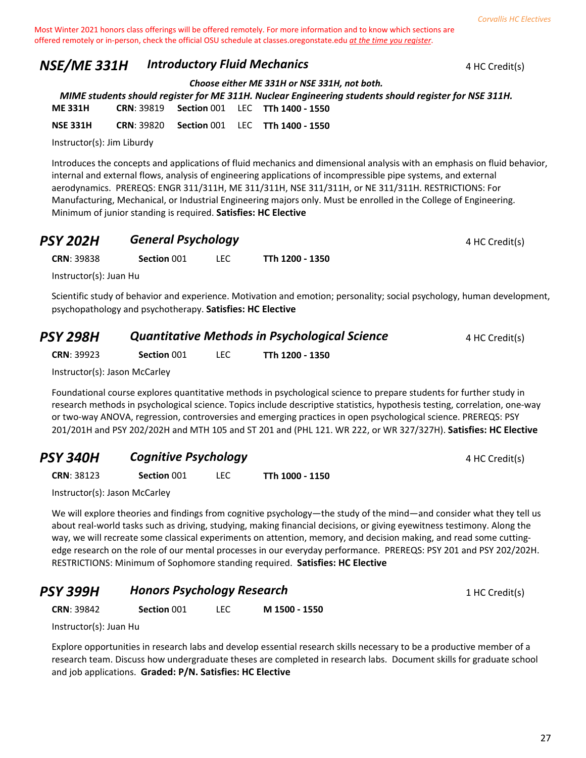27

Most Winter 2021 honors class offerings will be offered remotely. For more information and to know which sections are offered remotely or in-person, check the official OSU schedule at classes.oregonstate.edu *at the time you register*.

# **NSE/ME 331H Introductory Fluid Mechanics 1 1 According to ALC Credit(s)**

*Choose either ME 331H or NSE 331H, not both.*

*MIME students should register for ME 311H. Nuclear Engineering students should register for NSE 311H.* **ME 331H CRN**: 39819 **Section** 001 LEC **TTh 1400 - 1550 NSE 331H CRN**: 39820 **Section** 001 LEC **TTh 1400 - 1550**

Instructor(s): Jim Liburdy

Introduces the concepts and applications of fluid mechanics and dimensional analysis with an emphasis on fluid behavior, internal and external flows, analysis of engineering applications of incompressible pipe systems, and external aerodynamics. PREREQS: ENGR 311/311H, ME 311/311H, NSE 311/311H, or NE 311/311H. RESTRICTIONS: For Manufacturing, Mechanical, or Industrial Engineering majors only. Must be enrolled in the College of Engineering. Minimum of junior standing is required. **Satisfies: HC Elective**

| <b>PSY 202H</b>        | <b>General Psychology</b> |     |                 | 4 HC Credit(s) |
|------------------------|---------------------------|-----|-----------------|----------------|
| <b>CRN: 39838</b>      | Section 001               | LEC | TTh 1200 - 1350 |                |
| Instructor(s): Juan Hu |                           |     |                 |                |

Scientific study of behavior and experience. Motivation and emotion; personality; social psychology, human development, psychopathology and psychotherapy. **Satisfies: HC Elective**

| <b>PSY 298H</b>   | <b>Quantitative Methods in Psychological Science</b> |  |                 | 4 HC Credit(s) |
|-------------------|------------------------------------------------------|--|-----------------|----------------|
| <b>CRN: 39923</b> | Section 001                                          |  | TTh 1200 - 1350 |                |

Instructor(s): Jason McCarley

Foundational course explores quantitative methods in psychological science to prepare students for further study in research methods in psychological science. Topics include descriptive statistics, hypothesis testing, correlation, one-way or two-way ANOVA, regression, controversies and emerging practices in open psychological science. PREREQS: PSY 201/201H and PSY 202/202H and MTH 105 and ST 201 and (PHL 121. WR 222, or WR 327/327H). **Satisfies: HC Elective**

| <b>PSY 340H</b>    | <b>Cognitive Psychology</b> |  |                 | 4 HC Credit(s) |
|--------------------|-----------------------------|--|-----------------|----------------|
| <b>CRN</b> : 38123 | Section 001                 |  | TTh 1000 - 1150 |                |

Instructor(s): Jason McCarley

We will explore theories and findings from cognitive psychology—the study of the mind—and consider what they tell us about real-world tasks such as driving, studying, making financial decisions, or giving eyewitness testimony. Along the way, we will recreate some classical experiments on attention, memory, and decision making, and read some cuttingedge research on the role of our mental processes in our everyday performance. PREREQS: PSY 201 and PSY 202/202H. RESTRICTIONS: Minimum of Sophomore standing required. **Satisfies: HC Elective**

| <b>PSY 399H</b> | <b>Honors Psychology Research</b> | 1 HC Credit(s) |
|-----------------|-----------------------------------|----------------|
|-----------------|-----------------------------------|----------------|

**CRN**: 39842 **Section** 001 LEC **M 1500 - 1550**

Instructor(s): Juan Hu

Explore opportunities in research labs and develop essential research skills necessary to be a productive member of a research team. Discuss how undergraduate theses are completed in research labs. Document skills for graduate school and job applications. **Graded: P/N. Satisfies: HC Elective**